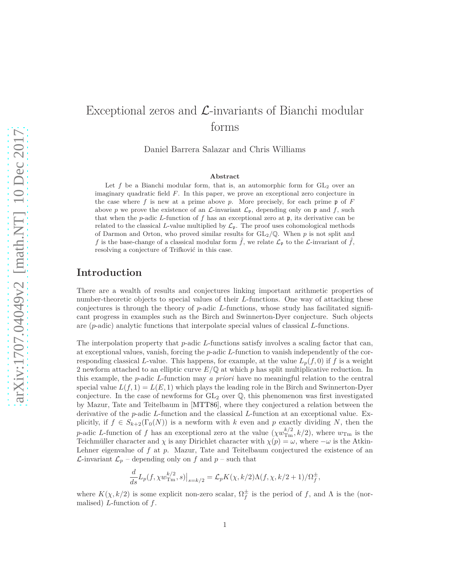# <span id="page-0-0"></span>Exceptional zeros and  $\mathcal{L}$ -invariants of Bianchi modular forms

Daniel Barrera Salazar and Chris Williams

#### **Abstract**

Let  $f$  be a Bianchi modular form, that is, an automorphic form for  $GL_2$  over an imaginary quadratic field *F*. In this paper, we prove an exceptional zero conjecture in the case where  $f$  is new at a prime above  $p$ . More precisely, for each prime  $\mathfrak p$  of  $F$ above *p* we prove the existence of an  $\mathcal{L}$ -invariant  $\mathcal{L}_{p}$ , depending only on **p** and *f*, such that when the *p*-adic *L*-function of *f* has an exceptional zero at p, its derivative can be related to the classical *L*-value multiplied by  $\mathcal{L}_{\mathfrak{p}}$ . The proof uses cohomological methods of Darmon and Orton, who proved similar results for GL2*/*Q. When *p* is not split and *f* is the base-change of a classical modular form  $\hat{f}$ , we relate  $\mathcal{L}_{\mathfrak{p}}$  to the  $\mathcal{L}$ -invariant of  $\hat{f}$ , resolving a conjecture of Trifković in this case.

### **Introduction**

There are a wealth of results and conjectures linking important arithmetic properties of number-theoretic objects to special values of their *L*-functions. One way of attacking these conjectures is through the theory of *p*-adic *L*-functions, whose study has facilitated significant progress in examples such as the Birch and Swinnerton-Dyer conjecture. Such objects are (*p*-adic) analytic functions that interpolate special values of classical *L*-functions.

The interpolation property that *p*-adic *L*-functions satisfy involves a scaling factor that can, at exceptional values, vanish, forcing the *p*-adic *L*-function to vanish independently of the corresponding classical *L*-value. This happens, for example, at the value  $L_p(f, 0)$  if f is a weight 2 newform attached to an elliptic curve *E/*Q at which *p* has split multiplicative reduction. In this example, the *p*-adic *L*-function may *a priori* have no meaningful relation to the central special value  $L(f, 1) = L(E, 1)$  which plays the leading role in the Birch and Swinnerton-Dyer conjecture. In the case of newforms for  $GL_2$  over  $\mathbb{Q}$ , this phenomenon was first investigated by Mazur, Tate and Teitelbaum in [\[MTT86\]](#page-35-0), where they conjectured a relation between the derivative of the *p*-adic *L*-function and the classical *L*-function at an exceptional value. Explicitly, if  $f \in S_{k+2}(\Gamma_0(N))$  is a newform with k even and p exactly dividing N, then the *p*-adic *L*-function of *f* has an exceptional zero at the value  $(\chi w_{\text{Tm}}^{k/2}, k/2)$ , where  $w_{\text{Tm}}$  is the Teichmüller character and *χ* is any Dirichlet character with  $\chi(p) = \omega$ , where  $-\omega$  is the Atkin-Lehner eigenvalue of *f* at *p*. Mazur, Tate and Teitelbaum conjectured the existence of an *L*-invariant  $\mathcal{L}_p$  – depending only on *f* and *p* – such that

$$
\frac{d}{ds}L_p(f, \chi w_{\text{Tr}}^{k/2}, s)\big|_{s=k/2} = \mathcal{L}_p K(\chi, k/2) \Lambda(f, \chi, k/2 + 1)/\Omega_f^{\pm},
$$

where  $K(\chi, k/2)$  is some explicit non-zero scalar,  $\Omega_f^{\pm}$  is the period of *f*, and  $\Lambda$  is the (normalised) *L*-function of *f*.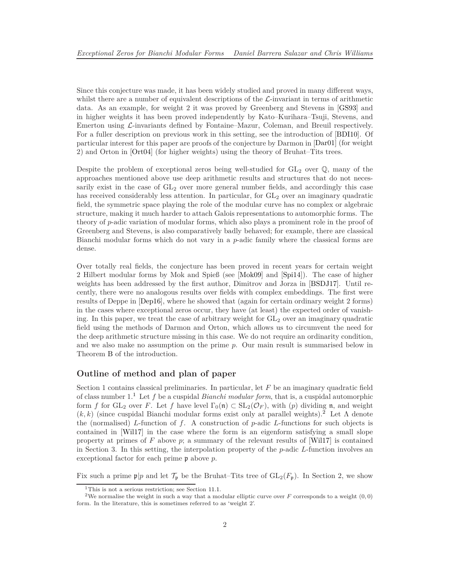<span id="page-1-2"></span>Since this conjecture was made, it has been widely studied and proved in many different ways, whilst there are a number of equivalent descriptions of the  $\mathcal{L}$ -invariant in terms of arithmetic data. As an example, for weight 2 it was proved by Greenberg and Stevens in [\[GS93\]](#page-34-0) and in higher weights it has been proved independently by Kato–Kurihara–Tsuji, Stevens, and Emerton using L-invariants defined by Fontaine–Mazur, Coleman, and Breuil respectively. For a fuller description on previous work in this setting, see the introduction of [\[BDI10\]](#page-34-1). Of particular interest for this paper are proofs of the conjecture by Darmon in [\[Dar01\]](#page-34-2) (for weight 2) and Orton in [\[Ort04\]](#page-35-1) (for higher weights) using the theory of Bruhat–Tits trees.

Despite the problem of exceptional zeros being well-studied for  $GL_2$  over  $\mathbb{Q}$ , many of the approaches mentioned above use deep arithmetic results and structures that do not necessarily exist in the case of  $GL_2$  over more general number fields, and accordingly this case has received considerably less attention. In particular, for  $GL_2$  over an imaginary quadratic field, the symmetric space playing the role of the modular curve has no complex or algebraic structure, making it much harder to attach Galois representations to automorphic forms. The theory of *p*-adic variation of modular forms, which also plays a prominent role in the proof of Greenberg and Stevens, is also comparatively badly behaved; for example, there are classical Bianchi modular forms which do not vary in a *p*-adic family where the classical forms are dense.

Over totally real fields, the conjecture has been proved in recent years for certain weight 2 Hilbert modular forms by Mok and Spieß (see [\[Mok09\]](#page-35-2) and [\[Spi14\]](#page-35-3)). The case of higher weights has been addressed by the first author, Dimitrov and Jorza in [\[BSDJ17\]](#page-34-3). Until recently, there were no analogous results over fields with complex embeddings. The first were results of Deppe in [\[Dep16\]](#page-34-4), where he showed that (again for certain ordinary weight 2 forms) in the cases where exceptional zeros occur, they have (at least) the expected order of vanishing. In this paper, we treat the case of arbitrary weight for  $GL_2$  over an imaginary quadratic field using the methods of Darmon and Orton, which allows us to circumvent the need for the deep arithmetic structure missing in this case. We do not require an ordinarity condition, and we also make no assumption on the prime *p*. Our main result is summarised below in Theorem [B](#page-3-0) of the introduction.

### **Outline of method and plan of paper**

Section 1 contains classical preliminaries. In particular, let *F* be an imaginary quadratic field of class number 1.[1](#page-1-0) Let *f* be a cuspidal *Bianchi modular form*, that is, a cuspidal automorphic form *f* for GL<sub>2</sub> over *F*. Let *f* have level  $\Gamma_0(\mathfrak{n}) \subset SL_2(\mathcal{O}_F)$ , with (*p*) dividing **n**, and weight  $(k, k)$  (since cuspidal Bianchi modular forms exist only at parallel weights).<sup>[2](#page-1-1)</sup> Let  $\Lambda$  denote the (normalised) *L*-function of *f*. A construction of *p*-adic *L*-functions for such objects is contained in [\[Wil17\]](#page-35-4) in the case where the form is an eigenform satisfying a small slope property at primes of *F* above *p*; a summary of the relevant results of [\[Wil17\]](#page-35-4) is contained in Section 3. In this setting, the interpolation property of the *p*-adic *L*-function involves an exceptional factor for each prime p above *p*.

Fix such a prime  $\mathfrak{p}|p$  and let  $\mathcal{T}_{\mathfrak{p}}$  be the Bruhat–Tits tree of  $GL_2(F_{\mathfrak{p}})$ . In Section 2, we show

<span id="page-1-0"></span><sup>1</sup>This is not a serious restriction; see Section [11.1.](#page-33-0)

<span id="page-1-1"></span><sup>2</sup>We normalise the weight in such a way that a modular elliptic curve over *F* corresponds to a weight (0*,* 0) form. In the literature, this is sometimes referred to as 'weight 2'.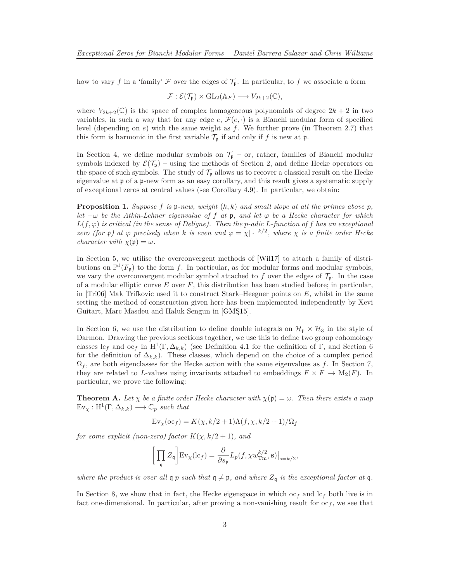<span id="page-2-0"></span>how to vary f in a 'family'  $\mathcal F$  over the edges of  $\mathcal T_p$ . In particular, to f we associate a form

$$
\mathcal{F}: \mathcal{E}(\mathcal{T}_{\mathfrak{p}}) \times \mathrm{GL}_2(\mathbb{A}_F) \longrightarrow V_{2k+2}(\mathbb{C}),
$$

where  $V_{2k+2}(\mathbb{C})$  is the space of complex homogeneous polynomials of degree  $2k+2$  in two variables, in such a way that for any edge  $e, \mathcal{F}(e, \cdot)$  is a Bianchi modular form of specified level (depending on *e*) with the same weight as *f*. We further prove (in Theorem [2.7\)](#page-7-0) that this form is harmonic in the first variable  $\mathcal{T}_{\mathfrak{p}}$  if and only if *f* is new at  $\mathfrak{p}$ .

In Section 4, we define modular symbols on  $\mathcal{T}_{p}$  – or, rather, families of Bianchi modular symbols indexed by  $\mathcal{E}(\mathcal{T}_{p})$  – using the methods of Section 2, and define Hecke operators on the space of such symbols. The study of  $\mathcal{T}_p$  allows us to recover a classical result on the Hecke eigenvalue at p of a p-new form as an easy corollary, and this result gives a systematic supply of exceptional zeros at central values (see Corollary [4.9\)](#page-17-0). In particular, we obtain:

**Proposition 1.** *Suppose*  $f$  *is*  $p$ *-new, weight*  $(k, k)$  *and small slope at all the primes above*  $p$ *, let*  $-\omega$  *be the Atkin-Lehner eigenvalue of f at* **p**, and let  $\varphi$  *be a Hecke character for which*  $L(f, \varphi)$  *is critical (in the sense of Deligne). Then the <i>p*-adic *L*-function of *f* has an exceptional *zero (for*  $\mathfrak{p}$ ) at  $\varphi$  precisely when k is even and  $\varphi = \chi | \cdot |^{k/2}$ , where  $\chi$  is a finite order Hecke *character with*  $\chi(\mathfrak{p}) = \omega$ *.* 

In Section 5, we utilise the overconvergent methods of [\[Wil17\]](#page-35-4) to attach a family of distributions on  $\mathbb{P}^1(F_{\mathfrak{p}})$  to the form *f*. In particular, as for modular forms and modular symbols, we vary the overconvergent modular symbol attached to f over the edges of  $\mathcal{T}_{p}$ . In the case of a modular elliptic curve *E* over *F*, this distribution has been studied before; in particular, in [\[Tri06\]](#page-35-5) Mak Trifkovic used it to construct Stark–Heegner points on *E*, whilst in the same setting the method of construction given here has been implemented independently by Xevi Guitart, Marc Masdeu and Haluk Sengun in [\[GMŞ15\]](#page-34-5).

In Section 6, we use the distribution to define double integrals on  $\mathcal{H}_{p} \times \mathcal{H}_{3}$  in the style of Darmon. Drawing the previous sections together, we use this to define two group cohomology classes  $\mathrm{lc}_f$  and  $\mathrm{oc}_f$  in  $\mathrm{H}^1(\Gamma, \Delta_{k,k})$  (see Definition [4.1](#page-14-0) for the definition of  $\Gamma$ , and Section 6 for the definition of  $\Delta_{k,k}$ ). These classes, which depend on the choice of a complex period  $\Omega_f$ , are both eigenclasses for the Hecke action with the same eigenvalues as f. In Section 7, they are related to *L*-values using invariants attached to embeddings  $F \times F \hookrightarrow M_2(F)$ . In particular, we prove the following:

**Theorem A.** Let  $\chi$  be a finite order Hecke character with  $\chi(\mathfrak{p}) = \omega$ . Then there exists a map  $Ev_{\chi}: H^1(\Gamma, \Delta_{k,k}) \longrightarrow \mathbb{C}_p$  *such that* 

$$
Ev_{\chi}(oc_f) = K(\chi, k/2 + 1)\Lambda(f, \chi, k/2 + 1)/\Omega_f
$$

*for some explicit (non-zero) factor*  $K(\chi, k/2+1)$ *, and* 

$$
\bigg[\prod_{\mathfrak{q}}Z_{\mathfrak{q}}\bigg]\mathrm{Ev}_{\chi}(\mathrm{lc}_f)=\frac{\partial}{\partial s_{\mathfrak{p}}}L_p(f,\chi w_{\mathrm{Tm}}^{k/2},\mathbf{s})\big|_{\mathbf{s}=k/2},
$$

*where the product is over all*  $q$ |*p such that*  $q \neq p$ *, and where*  $Z_q$  *is the exceptional factor at* q.

In Section 8, we show that in fact, the Hecke eigenspace in which  $\alpha_f$  and  $\alpha_f$  both live is in fact one-dimensional. In particular, after proving a non-vanishing result for  $oc_f$ , we see that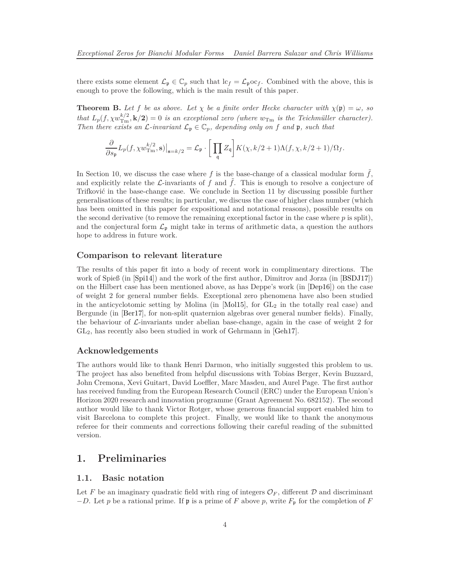<span id="page-3-2"></span>there exists some element  $\mathcal{L}_{\mathfrak{p}} \in \mathbb{C}_p$  such that  $\mathrm{lc}_f = \mathcal{L}_{\mathfrak{p}} \mathrm{oc}_f$ . Combined with the above, this is enough to prove the following, which is the main result of this paper.

<span id="page-3-0"></span>**Theorem B.** Let *f* be as above. Let  $\chi$  be a finite order Hecke character with  $\chi(\mathfrak{p}) = \omega$ , so *that*  $L_p(f, \chi w_{\text{Tm}}^{k/2}, \mathbf{k}/2) = 0$  *is an exceptional zero (where*  $w_{\text{Tm}}$  *is the Teichmüller character). Then there exists an*  $\mathcal{L}\text{-}invariant \mathcal{L}_{\mathfrak{p}} \in \mathbb{C}_p$ *, depending only on*  $f$  *and*  $\mathfrak{p}$ *, such that* 

$$
\frac{\partial}{\partial s_{\mathfrak{p}}} L_p(f, \chi w_{\rm Tm}^{k/2}, {\bf s})\big|_{{\bf s}=k/2} = \mathcal{L}_{\mathfrak{p}} \cdot \bigg[\prod_{\mathfrak{q}} Z_{\mathfrak{q}}\bigg] K(\chi, k/2+1)\Lambda(f, \chi, k/2+1)/\Omega_f.
$$

In Section 10, we discuss the case where  $f$  is the base-change of a classical modular form  $f$ , and explicitly relate the L-invariants of f and  $\tilde{f}$ . This is enough to resolve a conjecture of Trifković in the base-change case. We conclude in Section 11 by discussing possible further generalisations of these results; in particular, we discuss the case of higher class number (which has been omitted in this paper for expositional and notational reasons), possible results on the second derivative (to remove the remaining exceptional factor in the case where  $p$  is split), and the conjectural form  $\mathcal{L}_{\mathfrak{p}}$  might take in terms of arithmetic data, a question the authors hope to address in future work.

#### **Comparison to relevant literature**

The results of this paper fit into a body of recent work in complimentary directions. The work of Spieß (in [\[Spi14\]](#page-35-3)) and the work of the first author, Dimitrov and Jorza (in [\[BSDJ17\]](#page-34-3)) on the Hilbert case has been mentioned above, as has Deppe's work (in [\[Dep16\]](#page-34-4)) on the case of weight 2 for general number fields. Exceptional zero phenomena have also been studied in the anticyclotomic setting by Molina (in  $[Mol15]$ , for  $GL<sub>2</sub>$  in the totally real case) and Bergunde (in [\[Ber17\]](#page-34-6), for non-split quaternion algebras over general number fields). Finally, the behaviour of  $\mathcal{L}$ -invariants under abelian base-change, again in the case of weight 2 for GL2, has recently also been studied in work of Gehrmann in [\[Geh17\]](#page-34-7).

### **Acknowledgements**

The authors would like to thank Henri Darmon, who initially suggested this problem to us. The project has also benefited from helpful discussions with Tobias Berger, Kevin Buzzard, John Cremona, Xevi Guitart, David Loeffler, Marc Masdeu, and Aurel Page. The first author has received funding from the European Research Council (ERC) under the European Union's Horizon 2020 research and innovation programme (Grant Agreement No. 682152). The second author would like to thank Victor Rotger, whose generous financial support enabled him to visit Barcelona to complete this project. Finally, we would like to thank the anonymous referee for their comments and corrections following their careful reading of the submitted version.

### <span id="page-3-1"></span>**1. Preliminaries**

### **1.1. Basic notation**

Let F be an imaginary quadratic field with ring of integers  $\mathcal{O}_F$ , different D and discriminant  $-D$ . Let *p* be a rational prime. If **p** is a prime of *F* above *p*, write  $F_p$  for the completion of *F*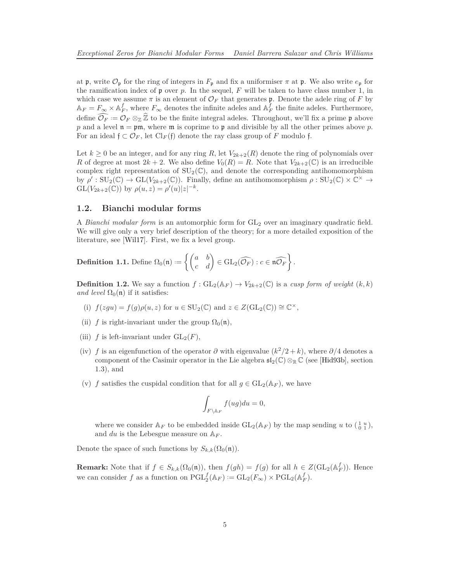<span id="page-4-0"></span>at p, write  $\mathcal{O}_p$  for the ring of integers in  $F_p$  and fix a uniformiser  $\pi$  at p. We also write  $e_p$  for the ramification index of  $\mathfrak p$  over  $p$ . In the sequel,  $F$  will be taken to have class number 1, in which case we assume  $\pi$  is an element of  $\mathcal{O}_F$  that generates **p**. Denote the adele ring of F by  $\mathbb{A}_F = F_{\infty} \times \mathbb{A}_F^f$ , where  $F_{\infty}$  denotes the infinite adeles and  $\mathbb{A}_F^f$  the finite adeles. Furthermore, define  $\mathcal{O}_F := \mathcal{O}_F \otimes_{\mathbb{Z}} \mathbb{Z}$  to be the finite integral adeles. Throughout, we'll fix a prime p above p and a level  $\mathfrak{n} = \mathfrak{p}\mathfrak{m}$ , where  $\mathfrak{m}$  is coprime to  $\mathfrak{p}$  and divisible by all the other primes above p. For an ideal  $f \subset \mathcal{O}_F$ , let  $\text{Cl}_F(f)$  denote the ray class group of F modulo f.

Let  $k \geq 0$  be an integer, and for any ring R, let  $V_{2k+2}(R)$  denote the ring of polynomials over *R* of degree at most  $2k + 2$ . We also define  $V_0(R) = R$ . Note that  $V_{2k+2}(\mathbb{C})$  is an irreducible complex right representation of  $SU_2(\mathbb{C})$ , and denote the corresponding antihomomorphism by  $\rho': \mathrm{SU}_2(\mathbb{C}) \to \mathrm{GL}(V_{2k+2}(\mathbb{C}))$ . Finally, define an antihomomorphism  $\rho: \mathrm{SU}_2(\mathbb{C}) \times \mathbb{C}^{\times} \to$  $GL(V_{2k+2}(\mathbb{C}))$  by  $\rho(u, z) = \rho'(u)|z|^{-k}$ .

### **1.2. Bianchi modular forms**

A *Bianchi modular form* is an automorphic form for  $GL_2$  over an imaginary quadratic field. We will give only a very brief description of the theory; for a more detailed exposition of the literature, see [\[Wil17\]](#page-35-4). First, we fix a level group.

**Definition 1.1.** Define 
$$
\Omega_0(\mathfrak{n}) := \left\{ \begin{pmatrix} a & b \\ c & d \end{pmatrix} \in GL_2(\widehat{\mathcal{O}_F}) : c \in \widehat{\mathfrak{n}\mathcal{O}_F} \right\}.
$$

**Definition 1.2.** We say a function  $f: GL_2(\mathbb{A}_F) \to V_{2k+2}(\mathbb{C})$  is a *cusp form of weight*  $(k, k)$ *and level*  $\Omega_0(\mathfrak{n})$  if it satisfies:

- (i)  $f(zgu) = f(g)\rho(u, z)$  for  $u \in SU_2(\mathbb{C})$  and  $z \in Z(GL_2(\mathbb{C})) \cong \mathbb{C}^{\times}$ ,
- (ii) *f* is right-invariant under the group  $\Omega_0(\mathfrak{n})$ ,
- (iii)  $f$  is left-invariant under  $GL_2(F)$ ,
- (iv) *f* is an eigenfunction of the operator  $\partial$  with eigenvalue  $(k^2/2 + k)$ , where  $\partial/4$  denotes a component of the Casimir operator in the Lie algebra  $\mathfrak{sl}_2(\mathbb{C})\otimes_{\mathbb{R}}\mathbb{C}$  (see [\[Hid93b\]](#page-35-7), section 1.3), and
- (v) *f* satisfies the cuspidal condition that for all  $g \in GL_2(\mathbb{A}_F)$ , we have

$$
\int_{F \backslash \mathbb{A}_F} f(ug) du = 0,
$$

where we consider  $\mathbb{A}_F$  to be embedded inside  $GL_2(\mathbb{A}_F)$  by the map sending *u* to  $\begin{pmatrix} 1 & u \\ 0 & 1 \end{pmatrix}$ , and *du* is the Lebesgue measure on A*<sup>F</sup>* .

Denote the space of such functions by  $S_{k,k}(\Omega_0(\mathfrak{n}))$ .

**Remark:** Note that if  $f \in S_{k,k}(\Omega_0(\mathfrak{n}))$ , then  $f(gh) = f(g)$  for all  $h \in Z(\text{GL}_2(\mathbb{A}_F^f))$ . Hence we can consider *f* as a function on  $\text{PGL}_2^f(\mathbb{A}_F) := \text{GL}_2(F_\infty) \times \text{PGL}_2(\mathbb{A}_F^f)$ .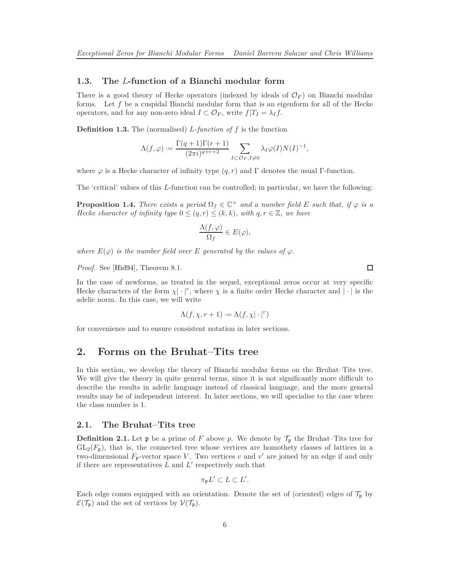### <span id="page-5-1"></span>**1.3. The** *L***-function of a Bianchi modular form**

There is a good theory of Hecke operators (indexed by ideals of  $\mathcal{O}_F$ ) on Bianchi modular forms. Let *f* be a cuspidal Bianchi modular form that is an eigenform for all of the Hecke operators, and for any non-zero ideal  $I \subset \mathcal{O}_F$ , write  $f|T_I = \lambda_I f$ .

**Definition 1.3.** The (normalised) *L-function of f* is the function

$$
\Lambda(f,\varphi) := \frac{\Gamma(q+1)\Gamma(r+1)}{(2\pi i)^{q+r+2}} \sum_{I \subset \mathcal{O}_F, I \neq 0} \lambda_I \varphi(I) N(I)^{-1},
$$

where  $\varphi$  is a Hecke character of infinity type  $(q, r)$  and  $\Gamma$  denotes the usual  $\Gamma$ -function.

The 'critical' values of this *L*-function can be controlled; in particular, we have the following:

<span id="page-5-0"></span>**Proposition 1.4.** *There exists a period*  $\Omega_f \in \mathbb{C}^\times$  *and a number field E such that, if*  $\varphi$  *is a Hecke character of infinity type*  $0 \leq (q, r) \leq (k, k)$ *, with*  $q, r \in \mathbb{Z}$ *, we have* 

$$
\frac{\Lambda(f,\varphi)}{\Omega_f}\in E(\varphi),
$$

*where*  $E(\varphi)$  *is the number field over E generated by the values of*  $\varphi$ *.* 

*Proof.* See [\[Hid94\]](#page-35-8), Theorem 8.1.

In the case of newforms, as treated in the sequel, exceptional zeros occur at very specific Hecke characters of the form  $\chi | \cdot |^r$ , where  $\chi$  is a finite order Hecke character and  $| \cdot |$  is the adelic norm. In this case, we will write

$$
\Lambda(f, \chi, r+1) := \Lambda(f, \chi| \cdot |^r)
$$

for convenience and to ensure consistent notation in later sections.

### **2. Forms on the Bruhat–Tits tree**

In this section, we develop the theory of Bianchi modular forms on the Bruhat–Tits tree. We will give the theory in quite general terms, since it is not significantly more difficult to describe the results in adelic language instead of classical language, and the more general results may be of independent interest. In later sections, we will specialise to the case where the class number is 1.

### **2.1. The Bruhat–Tits tree**

**Definition 2.1.** Let **p** be a prime of F above p. We denote by  $\mathcal{T}_{p}$  the Bruhat–Tits tree for  $GL_2(F_p)$ , that is, the connected tree whose vertices are homothety classes of lattices in a two-dimensional  $F_p$ -vector space *V*. Two vertices *v* and *v'* are joined by an edge if and only if there are representatives  $L$  and  $L'$  respectively such that

$$
\pi_{\mathfrak{p}}L' \subset L \subset L'.
$$

Each edge comes equipped with an orientation. Denote the set of (oriented) edges of  $\mathcal{T}_{\mathfrak{p}}$  by  $\mathcal{E}(\mathcal{T}_{\mathfrak{p}})$  and the set of vertices by  $\mathcal{V}(\mathcal{T}_{\mathfrak{p}})$ .

 $\Box$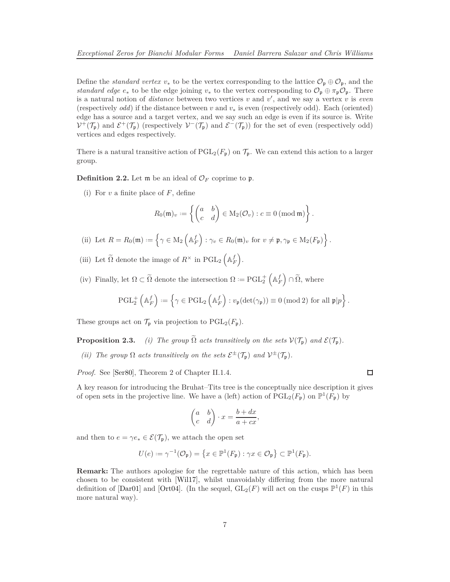<span id="page-6-1"></span>Define the *standard vertex*  $v_*$  to be the vertex corresponding to the lattice  $\mathcal{O}_{\mathfrak{p}} \oplus \mathcal{O}_{\mathfrak{p}}$ , and the *standard edge*  $e_*$  to be the edge joining  $v_*$  to the vertex corresponding to  $\mathcal{O}_p \oplus \pi_p \mathcal{O}_p$ . There is a natural notion of *distance* between two vertices  $v$  and  $v'$ , and we say a vertex  $v$  is *even* (respectively *odd*) if the distance between *v* and *v*<sup>∗</sup> is even (respectively odd). Each (oriented) edge has a source and a target vertex, and we say such an edge is even if its source is. Write  $V^+(\mathcal{T}_{\mathfrak{p}})$  and  $\mathcal{E}^+(\mathcal{T}_{\mathfrak{p}})$  (respectively  $V^-(\mathcal{T}_{\mathfrak{p}})$ ) and  $\mathcal{E}^-(\mathcal{T}_{\mathfrak{p}})$ ) for the set of even (respectively odd) vertices and edges respectively.

There is a natural transitive action of  $PGL_2(F_p)$  on  $\mathcal{T}_p$ . We can extend this action to a larger group.

<span id="page-6-0"></span>**Definition 2.2.** Let  $\mathfrak{m}$  be an ideal of  $\mathcal{O}_F$  coprime to  $\mathfrak{p}$ .

(i) For *v* a finite place of *F*, define

$$
R_0(\mathfrak{m})_v := \left\{ \begin{pmatrix} a & b \\ c & d \end{pmatrix} \in M_2(\mathcal{O}_v) : c \equiv 0 \text{ (mod } \mathfrak{m}) \right\}.
$$

- (ii) Let  $R = R_0(\mathfrak{m}) := \left\{ \gamma \in M_2 \left( \mathbb{A}_F^f \right) : \gamma_v \in R_0(\mathfrak{m})_v \text{ for } v \neq \mathfrak{p}, \gamma_{\mathfrak{p}} \in M_2(F_{\mathfrak{p}}) \right\}.$
- (iii) Let  $\widetilde{\Omega}$  denote the image of  $R^{\times}$  in  $\mathrm{PGL}_2\left(\mathbb{A}_F^f\right)$ .
- (iv) Finally, let  $\Omega \subset \tilde{\Omega}$  denote the intersection  $\Omega := \mathrm{PGL}_2^+\left(\mathbb{A}_F^f\right) \cap \tilde{\Omega}$ , where

$$
\operatorname{PGL}_2^+\left(\mathbb{A}_F^f\right):=\left\{\gamma\in\operatorname{PGL}_2\left(\mathbb{A}_F^f\right):v_{\mathfrak{p}}(\det(\gamma_{\mathfrak{p}}))\equiv 0\ ({\rm mod}\ 2)\ {\rm for\ all}\ \mathfrak{p}|p\right\}.
$$

These groups act on  $\mathcal{T}_{\mathfrak{p}}$  via projection to  $\mathrm{PGL}_2(F_{\mathfrak{p}})$ .

**Proposition 2.3.** *(i)* The group  $\widetilde{\Omega}$  acts transitively on the sets  $V(\mathcal{T}_{p})$  and  $\mathcal{E}(\mathcal{T}_{p})$ .

(*ii*) The group  $\Omega$  acts transitively on the sets  $\mathcal{E}^{\pm}(\mathcal{T}_{\mathfrak{p}})$  and  $\mathcal{V}^{\pm}(\mathcal{T}_{\mathfrak{p}})$ .

*Proof.* See [\[Ser80\]](#page-35-9), Theorem 2 of Chapter II.1.4.

 $\Box$ 

A key reason for introducing the Bruhat–Tits tree is the conceptually nice description it gives of open sets in the projective line. We have a (left) action of  $\text{PGL}_2(F_{\mathfrak{p}})$  on  $\mathbb{P}^1(F_{\mathfrak{p}})$  by

$$
\begin{pmatrix} a & b \\ c & d \end{pmatrix} \cdot x = \frac{b + dx}{a + cx},
$$

and then to  $e = \gamma e_* \in \mathcal{E}(\mathcal{T}_{p})$ , we attach the open set

$$
U(e) := \gamma^{-1}(\mathcal{O}_{\mathfrak{p}}) = \left\{ x \in \mathbb{P}^1(F_{\mathfrak{p}}) : \gamma x \in \mathcal{O}_{\mathfrak{p}} \right\} \subset \mathbb{P}^1(F_{\mathfrak{p}}).
$$

**Remark:** The authors apologise for the regrettable nature of this action, which has been chosen to be consistent with [\[Wil17\]](#page-35-4), whilst unavoidably differing from the more natural definition of [\[Dar01\]](#page-34-2) and [\[Ort04\]](#page-35-1). (In the sequel,  $GL_2(F)$  will act on the cusps  $\mathbb{P}^1(F)$  in this more natural way).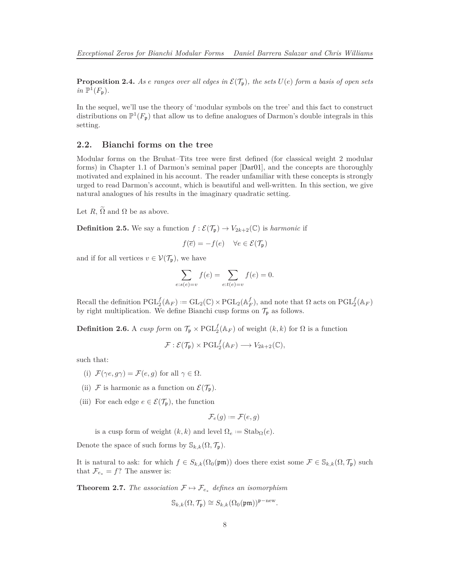<span id="page-7-2"></span><span id="page-7-1"></span>**Proposition 2.4.** As *e* ranges over all edges in  $\mathcal{E}(\mathcal{T}_n)$ , the sets  $U(e)$  form a basis of open sets  $in \mathbb{P}^1(F_{\mathfrak{p}}).$ 

In the sequel, we'll use the theory of 'modular symbols on the tree' and this fact to construct distributions on  $\mathbb{P}^1(F_{\mathfrak{p}})$  that allow us to define analogues of Darmon's double integrals in this setting.

### **2.2. Bianchi forms on the tree**

Modular forms on the Bruhat–Tits tree were first defined (for classical weight 2 modular forms) in Chapter 1.1 of Darmon's seminal paper [\[Dar01\]](#page-34-2), and the concepts are thoroughly motivated and explained in his account. The reader unfamiliar with these concepts is strongly urged to read Darmon's account, which is beautiful and well-written. In this section, we give natural analogues of his results in the imaginary quadratic setting.

Let  $R, \tilde{\Omega}$  and  $\Omega$  be as above.

**Definition 2.5.** We say a function  $f : \mathcal{E}(\mathcal{T}_{p}) \to V_{2k+2}(\mathbb{C})$  is *harmonic* if

$$
f(\overline{e}) = -f(e) \quad \forall e \in \mathcal{E}(\mathcal{T}_{\mathfrak{p}})
$$

and if for all vertices  $v \in \mathcal{V}(\mathcal{T}_{\mathfrak{p}})$ , we have

$$
\sum_{e:s(e)=v} f(e) = \sum_{e:t(e)=v} f(e) = 0.
$$

Recall the definition  $\mathrm{PGL}_2^f(\mathbb{A}_F) := \mathrm{GL}_2(\mathbb{C}) \times \mathrm{PGL}_2(\mathbb{A}_F^f)$ , and note that  $\Omega$  acts on  $\mathrm{PGL}_2^f(\mathbb{A}_F)$ by right multiplication. We define Bianchi cusp forms on  $\mathcal{T}_{\mathfrak{p}}$  as follows.

**Definition 2.6.** A *cusp form* on  $\mathcal{T}_{p} \times \text{PGL}_{2}^{f}(\mathbb{A}_{F})$  of weight  $(k, k)$  for  $\Omega$  is a function

$$
\mathcal{F}: \mathcal{E}(\mathcal{T}_{\mathfrak{p}}) \times \mathrm{PGL}_2^f(\mathbb{A}_F) \longrightarrow V_{2k+2}(\mathbb{C}),
$$

such that:

- (i)  $\mathcal{F}(\gamma e, q\gamma) = \mathcal{F}(e, q)$  for all  $\gamma \in \Omega$ .
- (ii) F is harmonic as a function on  $\mathcal{E}(\mathcal{T}_{p})$ .
- (iii) For each edge  $e \in \mathcal{E}(\mathcal{T}_{p})$ , the function

$$
\mathcal{F}_e(g):=\mathcal{F}(e,g)
$$

is a cusp form of weight  $(k, k)$  and level  $\Omega_e := \text{Stab}_{\Omega}(e)$ *.* 

Denote the space of such forms by  $\mathbb{S}_{k,k}(\Omega, \mathcal{T}_{p}).$ 

It is natural to ask: for which  $f \in S_{k,k}(\Omega_0(\mathfrak{p}\mathfrak{m}))$  does there exist some  $\mathcal{F} \in \mathbb{S}_{k,k}(\Omega, \mathcal{T}_{\mathfrak{p}})$  such that  $\mathcal{F}_{e_*} = f$ ? The answer is:

<span id="page-7-0"></span>**Theorem 2.7.** *The association*  $\mathcal{F} \mapsto \mathcal{F}_{e_{*}}$  *defines an isomorphism* 

$$
\mathbb{S}_{k,k}(\Omega,\mathcal{T}_{\mathfrak{p}}) \cong S_{k,k}(\Omega_0(\mathfrak{p}\mathfrak{m}))^{\mathfrak{p}-\text{new}}.
$$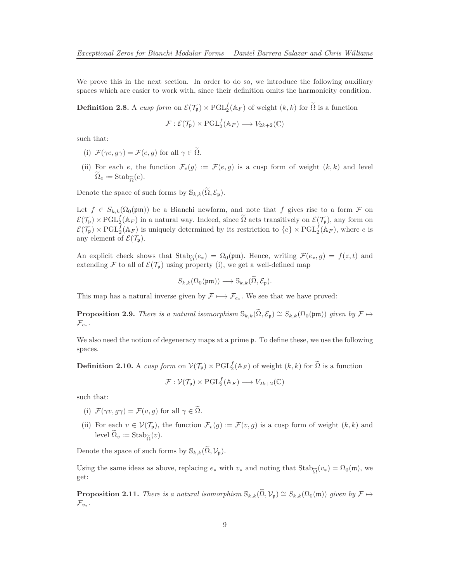We prove this in the next section. In order to do so, we introduce the following auxiliary spaces which are easier to work with, since their definition omits the harmonicity condition.

**Definition 2.8.** A *cusp form* on  $\mathcal{E}(\mathcal{T}_{p}) \times \mathrm{PGL}_{2}^{f}(\mathbb{A}_{F})$  of weight  $(k, k)$  for  $\widetilde{\Omega}$  is a function

$$
\mathcal{F}: \mathcal{E}(\mathcal{T}_{\mathfrak{p}}) \times \mathrm{PGL}_2^f(\mathbb{A}_F) \longrightarrow V_{2k+2}(\mathbb{C})
$$

such that:

- (i)  $\mathcal{F}(\gamma e, g\gamma) = \mathcal{F}(e, g)$  for all  $\gamma \in \tilde{\Omega}$ .
- (ii) For each *e*, the function  $\mathcal{F}_e(g) := \mathcal{F}(e, g)$  is a cusp form of weight  $(k, k)$  and level  $\Omega_e := \text{Stab}_{\widetilde{\Omega}}(e).$

Denote the space of such forms by  $\mathbb{S}_{k,k}(\tilde{\Omega}, \mathcal{E}_{\mathfrak{p}})$ .

Let  $f \in S_{k,k}(\Omega_0(\mathfrak{p}\mathfrak{m}))$  be a Bianchi newform, and note that f gives rise to a form F on  $\mathcal{E}(\mathcal{T}_{\mathfrak{p}}) \times \mathrm{PGL}_{2}^{f}(\mathbb{A}_{F})$  in a natural way. Indeed, since  $\widetilde{\Omega}$  acts transitively on  $\mathcal{E}(\mathcal{T}_{\mathfrak{p}})$ , any form on  $\mathcal{E}(\mathcal{T}_{\mathfrak{p}}) \times \mathrm{PGL}_{2}^{f}(\mathbb{A}_{F})$  is uniquely determined by its restriction to  $\{e\} \times \mathrm{PGL}_{2}^{f}(\mathbb{A}_{F})$ , where *e* is any element of  $\mathcal{E}(\mathcal{T}_{\mathfrak{p}}).$ 

An explicit check shows that  $\text{Stab}_{\widetilde{\Omega}}(e_*) = \Omega_0(\text{pm})$ . Hence, writing  $\mathcal{F}(e_*,g) = f(z,t)$  and extending  $\mathcal F$  to all of  $\mathcal{E}(\mathcal{T}_n)$  using property (i), we get a well-defined map extending F to all of  $\mathcal{E}(\mathcal{T}_{p})$  using property (i), we get a well-defined map

$$
S_{k,k}(\Omega_0(\mathfrak{p}\mathfrak{m}))\longrightarrow \mathbb{S}_{k,k}(\Omega,\mathcal{E}_{\mathfrak{p}}).
$$

This map has a natural inverse given by  $\mathcal{F} \longmapsto \mathcal{F}_{e_*}$ . We see that we have proved:

<span id="page-8-0"></span>**Proposition 2.9.** *There is a natural isomorphism*  $\mathbb{S}_{k,k}(\tilde{\Omega}, \mathcal{E}_{\mathfrak{p}}) \cong S_{k,k}(\Omega_0(\mathfrak{p}\mathfrak{m}))$  *given by*  $\mathcal{F} \mapsto$  $\mathcal{F}_{e_*}.$ 

We also need the notion of degeneracy maps at a prime  $\mathfrak{p}$ . To define these, we use the following spaces.

**Definition 2.10.** A *cusp form* on  $V(\mathcal{T}_{p}) \times \mathrm{PGL}_{2}^{f}(\mathbb{A}_{F})$  of weight  $(k, k)$  for  $\widetilde{\Omega}$  is a function

$$
\mathcal{F}: \mathcal{V}(\mathcal{T}_{\mathfrak{p}}) \times \mathrm{PGL}_2^f(\mathbb{A}_F) \longrightarrow V_{2k+2}(\mathbb{C})
$$

such that:

- (i)  $\mathcal{F}(\gamma v, q\gamma) = \mathcal{F}(v, q)$  for all  $\gamma \in \widetilde{\Omega}$ .
- (ii) For each  $v \in V(\mathcal{T}_{p})$ , the function  $\mathcal{F}_{v}(g) := \mathcal{F}(v,g)$  is a cusp form of weight  $(k, k)$  and level  $\Omega_v := \text{Stab}_{\widetilde{\Omega}}(v)$ *.*

Denote the space of such forms by  $\mathbb{S}_{k,k}(\Omega,\mathcal{V}_{p})$ .

Using the same ideas as above, replacing  $e_*$  with  $v_*$  and noting that  $\text{Stab}_{\widetilde{\Omega}}(v_*) = \Omega_0(\mathfrak{m})$ , we get: get:

<span id="page-8-1"></span>**Proposition 2.11.** *There is a natural isomorphism*  $\mathbb{S}_{k,k}(\widetilde{\Omega}, \mathcal{V}_{p}) \cong S_{k,k}(\Omega_{0}(\mathfrak{m}))$  *given by*  $\mathcal{F} \mapsto$  $\mathcal{F}_{v_*}.$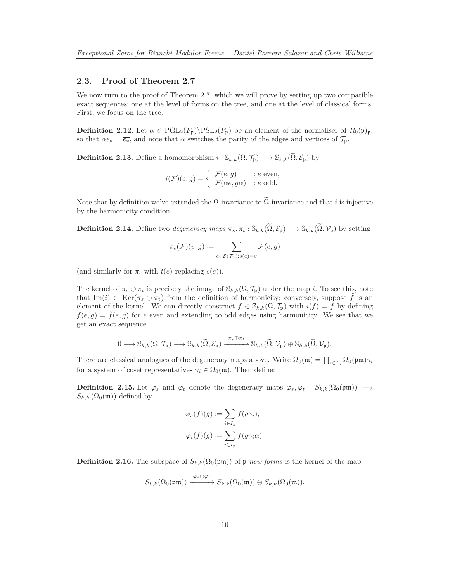### **2.3. Proof of Theorem [2.7](#page-7-0)**

We now turn to the proof of Theorem [2.7,](#page-7-0) which we will prove by setting up two compatible exact sequences; one at the level of forms on the tree, and one at the level of classical forms. First, we focus on the tree.

**Definition 2.12.** Let  $\alpha \in \text{PGL}_2(F_p) \backslash \text{PSL}_2(F_p)$  be an element of the normaliser of  $R_0(\mathfrak{p})_{\mathfrak{p}}$ , so that  $\alpha e_* = \overline{e_*}$ , and note that  $\alpha$  switches the parity of the edges and vertices of  $\mathcal{T}_{\mathfrak{p}}$ .

**Definition 2.13.** Define a homomorphism  $i : \mathbb{S}_{k,k}(\Omega, \mathcal{T}_{p}) \longrightarrow \mathbb{S}_{k,k}(\widetilde{\Omega}, \mathcal{E}_{p})$  by

$$
i(\mathcal{F})(e,g) = \begin{cases} \mathcal{F}(e,g) & : e \text{ even,} \\ \mathcal{F}(\alpha e,g\alpha) & : e \text{ odd.} \end{cases}
$$

Note that by definition we've extended the  $\Omega$ -invariance to  $\tilde{\Omega}$ -invariance and that *i* is injective by the harmonicity condition.

**Definition 2.14.** Define two *degeneracy maps*  $\pi_s$ ,  $\pi_t : \mathbb{S}_{k,k}(\tilde{\Omega}, \mathcal{E}_p) \longrightarrow \mathbb{S}_{k,k}(\tilde{\Omega}, \mathcal{V}_p)$  by setting

$$
\pi_s(\mathcal{F})(v,g):=\sum_{e\in\mathcal{E}(\mathcal{T}_{\mathfrak{p}}):s(e)=v}\mathcal{F}(e,g)
$$

(and similarly for  $\pi_t$  with  $t(e)$  replacing  $s(e)$ ).

The kernel of  $\pi_s \oplus \pi_t$  is precisely the image of  $\mathbb{S}_{k,k}(\Omega, \mathcal{T}_{p})$  under the map *i*. To see this, note that Im(*i*) ⊂ Ker( $\pi_s \oplus \pi_t$ ) from the definition of harmonicity; conversely, suppose  $\tilde{f}$  is an element of the kernel. We can directly construct  $f \in \mathbb{S}_{k,k}(\Omega, \mathcal{T}_{p})$  with  $i(f) = \tilde{f}$  by defining  $f(e,g) = \tilde{f}(e,g)$  for *e* even and extending to odd edges using harmonicity. We see that we get an exact sequence

$$
0 \longrightarrow \mathbb{S}_{k,k}(\Omega, \mathcal{T}_{\mathfrak{p}}) \longrightarrow \mathbb{S}_{k,k}(\widetilde{\Omega}, \mathcal{E}_{\mathfrak{p}}) \xrightarrow{\pi_s \oplus \pi_t} \mathbb{S}_{k,k}(\widetilde{\Omega}, \mathcal{V}_{\mathfrak{p}}) \oplus \mathbb{S}_{k,k}(\widetilde{\Omega}, \mathcal{V}_{\mathfrak{p}}).
$$

There are classical analogues of the degeneracy maps above. Write  $\Omega_0(\mathfrak{m}) = \coprod_{i \in I_p} \Omega_0(\mathfrak{p}\mathfrak{m})\gamma_i$ for a system of coset representatives  $\gamma_i \in \Omega_0(\mathfrak{m})$ . Then define:

**Definition 2.15.** Let  $\varphi_s$  and  $\varphi_t$  denote the degeneracy maps  $\varphi_s, \varphi_t : S_{k,k}(\Omega_0(\mathfrak{p}\mathfrak{m})) \longrightarrow$  $S_{k,k}(\Omega_0(\mathfrak{m}))$  defined by

$$
\varphi_s(f)(g) := \sum_{i \in I_{\mathfrak{p}}} f(g\gamma_i),
$$
  

$$
\varphi_t(f)(g) := \sum_{i \in I_{\mathfrak{p}}} f(g\gamma_i \alpha).
$$

**Definition 2.16.** The subspace of  $S_{k,k}(\Omega_0(\text{pm}))$  of p-new forms is the kernel of the map

$$
S_{k,k}(\Omega_0(\mathfrak{p}\mathfrak{m})) \xrightarrow{\varphi_s \oplus \varphi_t} S_{k,k}(\Omega_0(\mathfrak{m})) \oplus S_{k,k}(\Omega_0(\mathfrak{m})).
$$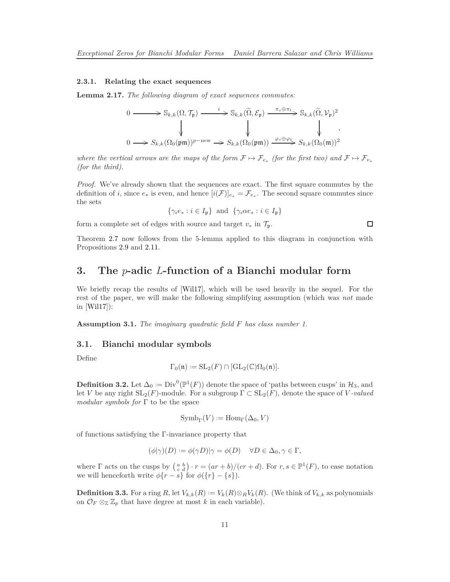#### <span id="page-10-0"></span>**2.3.1. Relating the exact sequences**

**Lemma 2.17.** *The following diagram of exact sequences commutes:*

$$
\begin{aligned}\n0 &\longrightarrow \mathbb{S}_{k,k}(\Omega, \mathcal{T}_{\mathfrak{p}}) \xrightarrow{i} \mathbb{S}_{k,k}(\widetilde{\Omega}, \mathcal{E}_{\mathfrak{p}}) \xrightarrow{\pi_s \oplus \pi_t} \mathbb{S}_{k,k}(\widetilde{\Omega}, \mathcal{V}_{\mathfrak{p}})^2 \\
&\downarrow \qquad \qquad \downarrow \qquad \qquad \downarrow \qquad \qquad \downarrow \qquad \qquad \downarrow \\
0 &\longrightarrow S_{k,k}(\Omega_0(\mathfrak{p}\mathfrak{m}))^{p-\text{new}} \longrightarrow S_{k,k}(\Omega_0(\mathfrak{p}\mathfrak{m})) \xrightarrow{\varphi_s \oplus \varphi_t} S_{k,k}(\Omega_0(\mathfrak{m}))^2\n\end{aligned}
$$

*where the vertical arrows are the maps of the form*  $\mathcal{F} \mapsto \mathcal{F}_{e_*}$  (for the first two) and  $\mathcal{F} \mapsto \mathcal{F}_{v_*}$ *(for the third).*

*Proof.* We've already shown that the sequences are exact. The first square commutes by the definition of *i*, since  $e_*$  is even, and hence  $[i(\mathcal{F})]_{e_*} = \mathcal{F}_{e_*}$ . The second square commutes since the sets

$$
\{\gamma_i e_* : i \in I_{\mathfrak{p}}\}\
$$
and  $\{\gamma_i \alpha e_* : i \in I_{\mathfrak{p}}\}\$ 

form a complete set of edges with source and target  $v_*$  in  $\mathcal{T}_{\mathfrak{p}}$ .

$$
\Box
$$

Theorem [2.7](#page-7-0) now follows from the 5-lemma applied to this diagram in conjunction with Propositions [2.9](#page-8-0) and [2.11.](#page-8-1)

### **3. The** *p***-adic** *L***-function of a Bianchi modular form**

We briefly recap the results of [\[Wil17\]](#page-35-4), which will be used heavily in the sequel. For the rest of the paper, we will make the following simplifying assumption (which was *not* made in [\[Wil17\]](#page-35-4)):

**Assumption 3.1.** *The imaginary quadratic field F has class number 1.*

#### **3.1. Bianchi modular symbols**

Define

$$
\Gamma_0(\mathfrak{n}) := \mathrm{SL}_2(F) \cap [\mathrm{GL}_2(\mathbb{C})\Omega_0(\mathfrak{n})].
$$

**Definition 3.2.** Let  $\Delta_0 := Div^0(\mathbb{P}^1(F))$  denote the space of 'paths between cusps' in  $\mathcal{H}_3$ , and let *V* be any right  $SL_2(F)$ -module. For a subgroup  $\Gamma \subset SL_2(F)$ , denote the space of *V*-valued *modular symbols for* Γ to be the space

$$
{\rm Symb}_\Gamma(V):={\rm Hom}_\Gamma(\Delta_0,V)
$$

of functions satisfying the Γ-invariance property that

$$
(\phi|\gamma)(D) := \phi(\gamma D)|\gamma = \phi(D) \quad \forall D \in \Delta_0, \gamma \in \Gamma,
$$

where  $\Gamma$  acts on the cusps by  $\left(\begin{array}{c} a & b \\ c & d \end{array}\right) \cdot r = (ar + b)/(cr + d)$ . For  $r, s \in \mathbb{P}^1(F)$ , to ease notation we will henceforth write  $\phi\{r - s\}$  for  $\phi(\{r\} - \{s\})$ .

**Definition 3.3.** For a ring R, let  $V_{k,k}(R) := V_k(R) \otimes_R V_k(R)$ . (We think of  $V_{k,k}$  as polynomials on  $\mathcal{O}_F \otimes_{\mathbb{Z}} \mathbb{Z}_p$  that have degree at most *k* in each variable).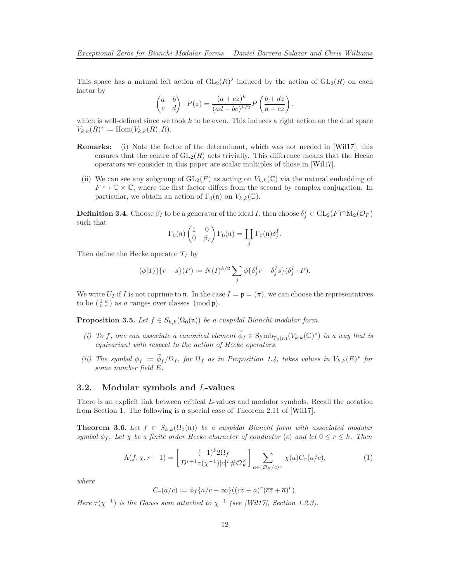<span id="page-11-3"></span>This space has a natural left action of  $GL_2(R)^2$  induced by the action of  $GL_2(R)$  on each factor by

$$
\begin{pmatrix} a & b \ c & d \end{pmatrix} \cdot P(z) = \frac{(a+cz)^k}{(ad-bc)^{k/2}} P\left(\frac{b+dz}{a+cz}\right),
$$

which is well-defined since we took *k* to be even. This induces a right action on the dual space  $V_{k,k}(R)^* := \text{Hom}(V_{k,k}(R), R)$ *.* 

- **Remarks:** (i) Note the factor of the determinant, which was not needed in [\[Wil17\]](#page-35-4); this ensures that the centre of  $GL_2(R)$  acts trivially. This difference means that the Hecke operators we consider in this paper are scalar multiples of those in [\[Wil17\]](#page-35-4).
- (ii) We can see any subgroup of  $GL_2(F)$  as acting on  $V_{k,k}(\mathbb{C})$  via the natural embedding of  $F \hookrightarrow \mathbb{C} \times \mathbb{C}$ , where the first factor differs from the second by complex conjugation. In particular, we obtain an action of  $\Gamma_0(\mathfrak{n})$  on  $V_{k,k}(\mathbb{C})$ .

<span id="page-11-1"></span>**Definition 3.4.** Choose  $\beta_I$  to be a generator of the ideal *I*, then choose  $\delta_j^I \in \mathrm{GL}_2(F) \cap \mathrm{M}_2(\mathcal{O}_F)$ such that

$$
\Gamma_0(\mathfrak{n})\begin{pmatrix} 1 & 0 \\ 0 & \beta_I \end{pmatrix} \Gamma_0(\mathfrak{n}) = \coprod_j \Gamma_0(\mathfrak{n}) \delta_j^I.
$$

Then define the Hecke operator *T<sup>I</sup>* by

$$
(\phi|T_I)\{r-s\}(P) := N(I)^{k/2} \sum_j \phi\{\delta_j^I r - \delta_j^I s\} (\delta_j^I \cdot P).
$$

We write  $U_I$  if *I* is not coprime to **n**. In the case  $I = \mathfrak{p} = (\pi)$ , we can choose the representatives to be  $\left(\begin{smallmatrix} 1 & a \\ 0 & \pi \end{smallmatrix}\right)$  as *a* ranges over classes (mod **p**).

<span id="page-11-0"></span>**Proposition 3.5.** *Let*  $f \in S_{k,k}(\Omega_0(\mathfrak{n}))$  *be a cuspidal Bianchi modular form.* 

- *(i)* To *f*, one can associate a canonical element  $\phi_f \in \text{Symb}_{\Gamma_0(\mathfrak{n})}(V_{k,k}(\mathbb{C})^*)$  in a way that is *equivariant with respect to the action of Hecke operators.*
- *(ii)* The symbol  $\phi_f := \phi_f / \Omega_f$ , for  $\Omega_f$  as in Proposition [1.4,](#page-5-0) takes values in  $V_{k,k}(E)^*$  for *some number field E.*

#### **3.2. Modular symbols and** *L***-values**

There is an explicit link between critical *L*-values and modular symbols. Recall the notation from Section [1.](#page-3-1) The following is a special case of Theorem 2.11 of [\[Wil17\]](#page-35-4).

**Theorem 3.6.** Let  $f \in S_{k,k}(\Omega_0(\mathfrak{n}))$  be a cuspidal Bianchi form with associated modular *symbol*  $\phi_f$ . Let  $\chi$  *be a finite order Hecke character of conductor* (*c*) *and let*  $0 \le r \le k$ *. Then* 

<span id="page-11-2"></span>
$$
\Lambda(f, \chi, r+1) = \left[\frac{(-1)^k 2\Omega_f}{D^{r+1}\tau(\chi^{-1})|c|^r \# \mathcal{O}_F^\times}\right] \sum_{a \in (\mathcal{O}_F/c)^\times} \chi(a) C_r(a/c),\tag{1}
$$

*where*

$$
C_r(a/c) := \phi_f\{a/c - \infty\}((cz+a)^r(\overline{cz} + \overline{a})^r).
$$

*Here*  $\tau(\chi^{-1})$  *is the Gauss sum attached to*  $\chi^{-1}$  *(see [\[Wil17\]](#page-35-4), Section 1.2.3).*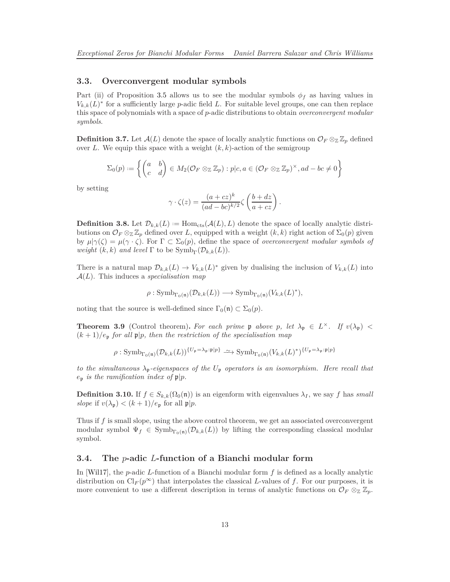#### <span id="page-12-2"></span>**3.3. Overconvergent modular symbols**

Part (ii) of Proposition [3.5](#page-11-0) allows us to see the modular symbols  $\phi_f$  as having values in  $V_{k,k}(L)^*$  for a sufficiently large *p*-adic field *L*. For suitable level groups, one can then replace this space of polynomials with a space of *p*-adic distributions to obtain *overconvergent modular symbols*.

**Definition 3.7.** Let  $\mathcal{A}(L)$  denote the space of locally analytic functions on  $\mathcal{O}_F \otimes_{\mathbb{Z}} \mathbb{Z}_p$  defined over *L*. We equip this space with a weight  $(k, k)$ -action of the semigroup

$$
\Sigma_0(p) := \left\{ \begin{pmatrix} a & b \\ c & d \end{pmatrix} \in M_2(\mathcal{O}_F \otimes_{\mathbb{Z}} \mathbb{Z}_p) : p|c, a \in (\mathcal{O}_F \otimes_{\mathbb{Z}} \mathbb{Z}_p)^{\times}, ad - bc \neq 0 \right\}
$$

by setting

$$
\gamma \cdot \zeta(z) = \frac{(a+cz)^k}{(ad-bc)^{k/2}} \zeta\left(\frac{b+dz}{a+cz}\right).
$$

**Definition 3.8.** Let  $\mathcal{D}_{k,k}(L) := \text{Hom}_{\text{cts}}(\mathcal{A}(L), L)$  denote the space of locally analytic distributions on  $\mathcal{O}_F \otimes_{\mathbb{Z}} \mathbb{Z}_p$  defined over *L*, equipped with a weight  $(k, k)$  right action of  $\Sigma_0(p)$  given by  $\mu|\gamma(\zeta) = \mu(\gamma \cdot \zeta)$ . For  $\Gamma \subset \Sigma_0(p)$ , define the space of *overconvergent modular symbols of weight*  $(k, k)$  *and level*  $\Gamma$  to be  $\text{Symb}_{\Gamma}(\mathcal{D}_{k,k}(L))$ *.* 

There is a natural map  $\mathcal{D}_{k,k}(L) \to V_{k,k}(L)^*$  given by dualising the inclusion of  $V_{k,k}(L)$  into A(*L*). This induces a *specialisation map*

$$
\rho: \mathrm{Symb}_{\Gamma_0(\mathfrak{n})}(\mathcal{D}_{k,k}(L)) \longrightarrow \mathrm{Symb}_{\Gamma_0(\mathfrak{n})}(V_{k,k}(L)^*),
$$

noting that the source is well-defined since  $\Gamma_0(\mathfrak{n}) \subset \Sigma_0(p)$ .

<span id="page-12-0"></span>**Theorem 3.9** (Control theorem). For each prime  $\mathfrak p$  above  $p$ , let  $\lambda_{\mathfrak p} \in L^{\times}$ . If  $v(\lambda_{\mathfrak p})$  <  $(k+1)/e_p$  *for all*  $\mathfrak{p}|p$ *, then the restriction of the specialisation map* 

$$
\rho: \mathrm{Symb}_{\Gamma_0(\mathfrak{n})}(\mathcal{D}_{k,k}(L))^{\{U_{\mathfrak{p}}=\lambda_{\mathfrak{p}}:\mathfrak{p}|p\}} \longrightarrow \mathrm{Symb}_{\Gamma_0(\mathfrak{n})}(V_{k,k}(L)^*)^{\{U_{\mathfrak{p}}=\lambda_{\mathfrak{p}}:\mathfrak{p}|p\}}
$$

*to the simultaneous λ*p*-eigenspaces of the U*<sup>p</sup> *operators is an isomorphism. Here recall that*  $e_p$  *is the ramification index of*  $p|p$ *.* 

**Definition 3.10.** If  $f \in S_{k,k}(\Omega_0(\mathfrak{n}))$  is an eigenform with eigenvalues  $\lambda_I$ , we say f has *small slope* if  $v(\lambda_p) < (k+1)/e_p$  for all  $\mathfrak{p}|p$ .

<span id="page-12-1"></span>Thus if *f* is small slope, using the above control theorem, we get an associated overconvergent modular symbol  $\Psi_f \in \text{Symb}_{\Gamma_0(n)}(\mathcal{D}_{k,k}(L))$  by lifting the corresponding classical modular symbol.

### **3.4. The** *p***-adic** *L***-function of a Bianchi modular form**

In [\[Wil17\]](#page-35-4), the *p*-adic *L*-function of a Bianchi modular form *f* is defined as a locally analytic distribution on  $Cl_F(p^\infty)$  that interpolates the classical *L*-values of f. For our purposes, it is more convenient to use a different description in terms of analytic functions on  $\mathcal{O}_F \otimes_{\mathbb{Z}} \mathbb{Z}_p$ .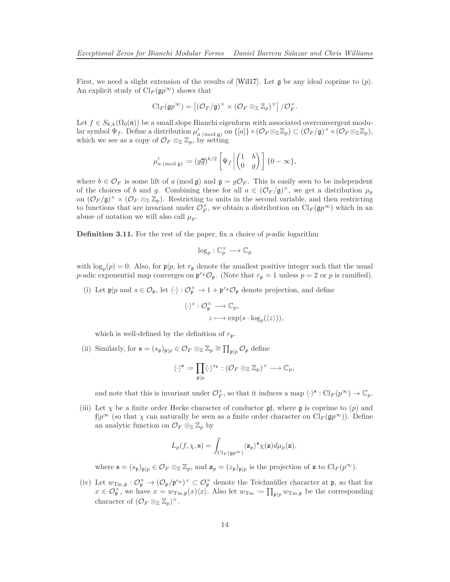<span id="page-13-0"></span>First, we need a slight extension of the results of [\[Wil17\]](#page-35-4). Let g be any ideal coprime to (*p*). An explicit study of  $\text{Cl}_F(\mathfrak{q}p^{\infty})$  shows that

$$
\mathrm{Cl}_F(\mathfrak{g}p^{\infty}) = \left[ (\mathcal{O}_F/\mathfrak{g})^{\times} \times (\mathcal{O}_F \otimes_{\mathbb{Z}} \mathbb{Z}_p)^{\times} \right] / \mathcal{O}_F^{\times}.
$$

Let  $f \in S_{k,k}(\Omega_0(\mathfrak{n}))$  be a small slope Bianchi eigenform with associated overconvergent modu- $\text{lar symbol }\Psi_f.$  Define a distribution  $\mu'_{a \pmod{\mathfrak{g}}}$  on  $\{[a]\}\times(\mathcal{O}_F\otimes_{\mathbb{Z}}\mathbb{Z}_p)\subset(\mathcal{O}_F/\mathfrak{g})^\times\times(\mathcal{O}_F\otimes_{\mathbb{Z}}\mathbb{Z}_p)$ , which we see as a copy of  $\mathcal{O}_F \otimes_{\mathbb{Z}} \mathbb{Z}_p$ , by setting

$$
\mu'_{a\;(\mathrm{mod}\;\mathfrak g)}:= (g\overline g)^{k/2}\left[\Psi_f\left|\begin{pmatrix} 1&b\\0&g\end{pmatrix}\right.\right]\{0-\infty\},
$$

where  $b \in \mathcal{O}_F$  is some lift of *a* (mod **g**) and **g** =  $g\mathcal{O}_F$ . This is easily seen to be independent of the choices of *b* and *g*. Combining these for all  $a \in (\mathcal{O}_F/\mathfrak{g})^{\times}$ , we get a distribution  $\mu_p$ on  $(\mathcal{O}_F/\mathfrak{g})^{\times} \times (\mathcal{O}_F \otimes_{\mathbb{Z}} \mathbb{Z}_p)$ . Restricting to units in the second variable, and then restricting to functions that are invariant under  $\mathcal{O}_F^{\times}$ , we obtain a distribution on  $\text{Cl}_F(\mathfrak{g}p^{\infty})$  which in an abuse of notation we will also call  $\mu_p$ .

**Definition 3.11.** For the rest of the paper, fix a choice of *p*-adic logarithm

$$
\log_p : \mathbb{C}_p^{\times} \longrightarrow \mathbb{C}_p
$$

with  $\log_p(p) = 0$ . Also, for  $p|p$ , let  $r_p$  denote the smallest positive integer such that the usual *p*-adic exponential map converges on  $\mathfrak{p}^{r_p} \mathcal{O}_{\mathfrak{p}}$ . (Note that  $r_p = 1$  unless  $p = 2$  or *p* is ramified).

(i) Let  $\mathfrak{p}|p$  and  $s \in \mathcal{O}_{\mathfrak{p}}$ , let  $\langle \cdot \rangle : \mathcal{O}_{\mathfrak{p}}^{\times} \to 1 + \mathfrak{p}^{r_{\mathfrak{p}}} \mathcal{O}_{\mathfrak{p}}$  denote projection, and define

$$
\langle \cdot \rangle^s : \mathcal{O}_{\mathfrak{p}}^{\times} \longrightarrow \mathbb{C}_p,
$$
  

$$
z \longmapsto \exp(s \cdot \log_p(\langle z \rangle)),
$$

which is well-defined by the definition of  $r_p$ .

(ii) Similarly, for  $\mathbf{s} = (s_{\mathfrak{p}})_{\mathfrak{p} | p} \in \mathcal{O}_F \otimes_{\mathbb{Z}} \mathbb{Z}_p \cong \prod_{\mathfrak{p} | p} \mathcal{O}_{\mathfrak{p}}$  define

$$
\langle \cdot \rangle^{\mathbf{s}} := \prod_{\mathfrak{p} \mid p} \langle \cdot \rangle^{s_{\mathfrak{p}}} : (\mathcal{O}_F \otimes_{\mathbb{Z}} \mathbb{Z}_p)^{\times} \longrightarrow \mathbb{C}_p,
$$

and note that this is invariant under  $\mathcal{O}_F^{\times}$ , so that it induces a map  $\langle \cdot \rangle^{\mathbf{s}} : \mathrm{Cl}_F(p^{\infty}) \to \mathbb{C}_p$ .

(iii) Let  $\chi$  be a finite order Hecke character of conductor  $\mathfrak{g}$ f, where  $\mathfrak{g}$  is coprime to (*p*) and  $f|p^{\infty}$  (so that *χ* can naturally be seen as a finite order character on  $Cl_F(\mathfrak{g}p^{\infty})$ ). Define an analytic function on  $\mathcal{O}_F \otimes_{\mathbb{Z}} \mathbb{Z}_p$  by

$$
L_p(f, \chi, \mathbf{s}) = \int_{\mathrm{Cl}_F(\mathfrak{g}p^\infty)} \langle \mathbf{z}_p \rangle^{\mathbf{s}} \chi(\mathbf{z}) d\mu_p(\mathbf{z}),
$$

where  $\mathbf{s} = (s_{\mathfrak{p}})_{\mathfrak{p} \mid p} \in \mathcal{O}_F \otimes_{\mathbb{Z}} \mathbb{Z}_p$ , and  $\mathbf{z}_p = (z_{\mathfrak{p}})_{\mathfrak{p} \mid p}$  is the projection of **z** to  $\text{Cl}_F(p^{\infty})$ .

(iv) Let  $w_{\text{Tm},\mathfrak{p}}: \mathcal{O}_{\mathfrak{p}}^{\times} \to (\mathcal{O}_{\mathfrak{p}}/\mathfrak{p}^{r_{\mathfrak{p}}})^{\times} \subset \mathcal{O}_{\mathfrak{p}}^{\times}$  denote the Teichmüller character at  $\mathfrak{p}$ , so that for  $x \in \mathcal{O}_{\mathfrak{p}}^{\times}$ , we have  $x = w_{\mathrm{Tm},\mathfrak{p}}(x)\langle x\rangle$ . Also let  $w_{\mathrm{Tm}} := \prod_{\mathfrak{p} \mid p} w_{\mathrm{Tm},\mathfrak{p}}$  be the corresponding character of  $(\mathcal{O}_F \otimes_{\mathbb{Z}} \mathbb{Z}_p)^{\times}$ .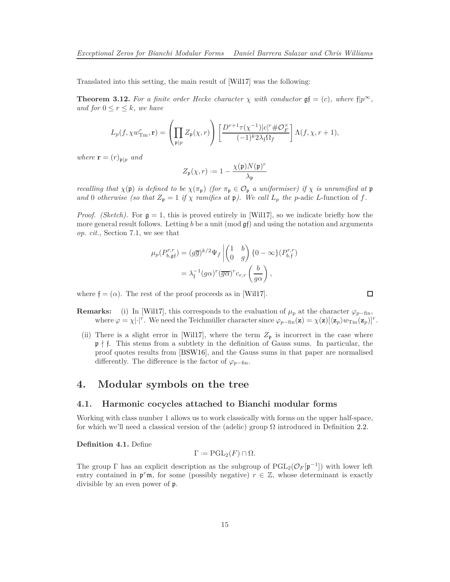<span id="page-14-3"></span>Translated into this setting, the main result of [\[Wil17\]](#page-35-4) was the following:

<span id="page-14-1"></span>**Theorem 3.12.** For a finite order Hecke character  $\chi$  with conductor  $\mathfrak{g} \mathfrak{f} = (c)$ *, where*  $\mathfrak{f} | p^{\infty}$ *, and for*  $0 \leq r \leq k$ *, we have* 

$$
L_p(f, \chi w_{\rm Tm}^r, \mathbf{r}) = \left(\prod_{\mathfrak{p} \mid p} Z_{\mathfrak{p}}(\chi, r)\right) \left[\frac{D^{r+1}\tau(\chi^{-1})|c|^r \# \mathcal{O}_F^{\times}}{(-1)^k 2\lambda_{\mathfrak{f}} \Omega_f}\right] \Lambda(f, \chi, r+1),
$$

*where*  $\mathbf{r} = (r)_{\mathfrak{p}|p}$  *and* 

$$
Z_{\mathfrak{p}}(\chi,r) := 1 - \frac{\chi(\mathfrak{p})N(\mathfrak{p})^r}{\lambda_{\mathfrak{p}}}
$$

*recalling that*  $\chi(\mathfrak{p})$  *is defined to be*  $\chi(\pi_{\mathfrak{p}})$  *(for*  $\pi_{\mathfrak{p}} \in \mathcal{O}_{\mathfrak{p}}$  *a uniformiser) if*  $\chi$  *is unramified at*  $\mathfrak{p}$ *and* 0 *otherwise* (so that  $Z_p = 1$  *if*  $\chi$  *ramifies at*  $\mathfrak{p}$ *). We call*  $L_p$  *the p*-adic *L*-function of *f*.

*Proof. (Sketch).* For  $g = 1$ , this is proved entirely in [\[Wil17\]](#page-35-4), so we indicate briefly how the more general result follows. Letting *b* be a unit (mod gf) and using the notation and arguments *op. cit.,* Section 7.1, we see that

$$
\mu_p(P_{b,\mathfrak{g}\mathfrak{f}}^{r,r}) = (g\overline{g})^{k/2} \Psi_f \left| \begin{pmatrix} 1 & b \\ 0 & g \end{pmatrix} \{0 - \infty\} (P_{b,\mathfrak{f}}^{r,r}) \right|
$$
  
=  $\lambda_{\mathfrak{f}}^{-1} (g\alpha)^r (\overline{g\alpha})^r c_{r,r} \left(\frac{b}{g\alpha}\right),$ 

where  $f = (\alpha)$ . The rest of the proof proceeds as in [\[Wil17\]](#page-35-4).

$$
\Box
$$

**Remarks:** (i) In [\[Wil17\]](#page-35-4), this corresponds to the evaluation of  $\mu_p$  at the character  $\varphi_{p-\text{fin}}$ , where  $\varphi = \chi | \cdot |^r$ . We need the Teichmüller character since  $\varphi_{p-\text{fin}}(\mathbf{z}) = \chi(\mathbf{z})[\langle \mathbf{z}_p \rangle w_{\text{Im}}(\mathbf{z}_p)]^r$ .

(ii) There is a slight error in [\[Wil17\]](#page-35-4), where the term  $Z_p$  is incorrect in the case where  $\mathfrak{p} \nmid \mathfrak{f}$ . This stems from a subtlety in the definition of Gauss sums. In particular, the proof quotes results from [\[BSW16\]](#page-34-8), and the Gauss sums in that paper are normalised differently. The difference is the factor of  $\varphi_{p-\text{fin}}$ .

### <span id="page-14-2"></span>**4. Modular symbols on the tree**

### **4.1. Harmonic cocycles attached to Bianchi modular forms**

Working with class number 1 allows us to work classically with forms on the upper half-space, for which we'll need a classical version of the (adelic) group  $\Omega$  introduced in Definition [2.2.](#page-6-0)

<span id="page-14-0"></span>**Definition 4.1.** Define

$$
\Gamma := \mathrm{PGL}_2(F) \cap \Omega.
$$

The group  $\Gamma$  has an explicit description as the subgroup of  $\text{PGL}_2(\mathcal{O}_F[\mathfrak{p}^{-1}])$  with lower left entry contained in  $\mathfrak{p}^r \mathfrak{m}$ , for some (possibly negative)  $r \in \mathbb{Z}$ , whose determinant is exactly divisible by an even power of p.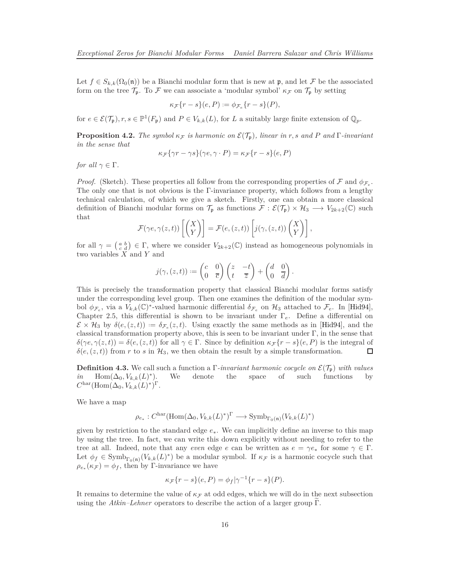<span id="page-15-1"></span>Let  $f \in S_{k,k}(\Omega_0(\mathfrak{n}))$  be a Bianchi modular form that is new at p, and let F be the associated form on the tree  $\mathcal{T}_{p}$ . To F we can associate a 'modular symbol'  $\kappa_{\mathcal{F}}$  on  $\mathcal{T}_{p}$  by setting

$$
\kappa_{\mathcal{F}}\{r-s\}(e,P):=\phi_{\mathcal{F}_e}\{r-s\}(P),
$$

for  $e \in \mathcal{E}(\mathcal{T}_{\mathfrak{p}})$ ,  $r, s \in \mathbb{P}^1(F_{\mathfrak{p}})$  and  $P \in V_{k,k}(L)$ , for *L* a suitably large finite extension of  $\mathbb{Q}_p$ .

<span id="page-15-0"></span>**Proposition 4.2.** *The symbol*  $\kappa_F$  *is harmonic on*  $\mathcal{E}(\mathcal{T}_p)$ *, linear in r, s* and *P* and  $\Gamma$ *-invariant in the sense that*

$$
\kappa_{\mathcal{F}}\{\gamma r - \gamma s\}(\gamma e, \gamma \cdot P) = \kappa_{\mathcal{F}}\{r - s\}(e, P)
$$

*for all*  $\gamma \in \Gamma$ *.* 

*Proof.* (Sketch). These properties all follow from the corresponding properties of F and  $\phi_{\mathcal{F}_e}$ . The only one that is not obvious is the Γ-invariance property, which follows from a lengthy technical calculation, of which we give a sketch. Firstly, one can obtain a more classical definition of Bianchi modular forms on  $\mathcal{T}_p$  as functions  $\mathcal{F}: \mathcal{E}(\mathcal{T}_p) \times \mathcal{H}_3 \longrightarrow V_{2k+2}(\mathbb{C})$  such that

$$
\mathcal{F}(\gamma e, \gamma(z, t)) \left[ \begin{pmatrix} X \\ Y \end{pmatrix} \right] = \mathcal{F}(e, (z, t)) \left[ j(\gamma, (z, t)) \begin{pmatrix} X \\ Y \end{pmatrix} \right],
$$

for all  $\gamma = \begin{pmatrix} a & b \\ c & d \end{pmatrix} \in \Gamma$ , where we consider  $V_{2k+2}(\mathbb{C})$  instead as homogeneous polynomials in two variables *X* and *Y* and

$$
j(\gamma,(z,t)) := \begin{pmatrix} c & 0 \\ 0 & \overline{c} \end{pmatrix} \begin{pmatrix} z & -t \\ t & \overline{z} \end{pmatrix} + \begin{pmatrix} d & 0 \\ 0 & \overline{d} \end{pmatrix}.
$$

This is precisely the transformation property that classical Bianchi modular forms satisfy under the corresponding level group. Then one examines the definition of the modular symbol  $\phi_{\mathcal{F}_e}$ , via a  $V_{k,k}(\mathbb{C})^*$ -valued harmonic differential  $\delta_{\mathcal{F}_e}$  on  $\mathcal{H}_3$  attached to  $\mathcal{F}_e$ . In [\[Hid94\]](#page-35-8), Chapter 2.5, this differential is shown to be invariant under Γ*e*. Define a differential on  $\mathcal{E} \times \mathcal{H}_3$  by  $\delta(e,(z,t)) := \delta_{\mathcal{F}_e}(z,t)$ . Using exactly the same methods as in [\[Hid94\]](#page-35-8), and the classical transformation property above, this is seen to be invariant under  $\Gamma$ , in the sense that  $\delta(\gamma e, \gamma(z, t)) = \delta(e, (z, t))$  for all  $\gamma \in \Gamma$ . Since by definition  $\kappa \mathcal{F} \{r - s\}(e, P)$  is the integral of  $\delta(e, (z, t))$  from *r* to *s* in  $\mathcal{H}_3$ , we then obtain the result by a simple transformation. □

**Definition 4.3.** We call such a function a Γ*-invariant harmonic cocycle on* E(Tp) *with values in* Hom( $\Delta$ <sub>0</sub>*, V*<sub>*k,k*</sub>(*L*)<sup>\*</sup> )*.* We denote the space of such functions by  $C^{\text{har}}(\text{Hom}(\Delta_0, V_{k,k}(L)^*)^{\Gamma}.$ 

We have a map

$$
\rho_{e_*}: C^{\mathrm{har}}(\mathrm{Hom}(\Delta_0, V_{k,k}(L)^*)^{\Gamma} \longrightarrow \mathrm{Symb}_{\Gamma_0(\mathfrak{n})}(V_{k,k}(L)^*)
$$

given by restriction to the standard edge *e*∗. We can implicitly define an inverse to this map by using the tree. In fact, we can write this down explicitly without needing to refer to the tree at all. Indeed, note that any *even* edge *e* can be written as  $e = \gamma e_*$  for some  $\gamma \in \Gamma$ . Let  $\phi_f \in \text{Symb}_{\Gamma_0(\mathfrak{n})}(V_{k,k}(L)^*)$  be a modular symbol. If  $\kappa_F$  is a harmonic cocycle such that  $\rho_{e_{*}}(\kappa_{\mathcal{F}}) = \phi_{f}$ , then by Γ-invariance we have

$$
\kappa_{\mathcal{F}}\{r-s\}(e,P) = \phi_f|\gamma^{-1}\{r-s\}(P).
$$

It remains to determine the value of  $\kappa_F$  at odd edges, which we will do in the next subsection using the *Atkin–Lehner* operators to describe the action of a larger group  $\Gamma$ .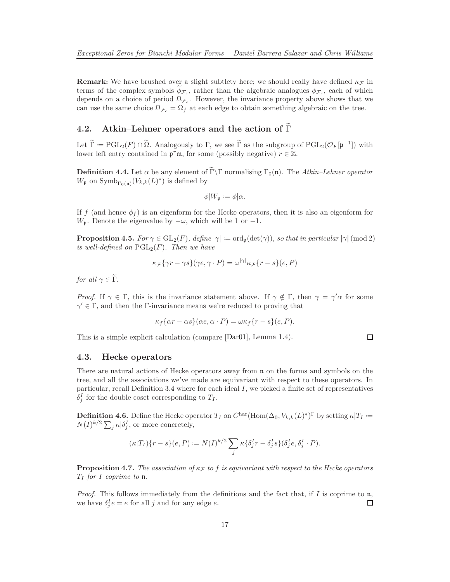<span id="page-16-1"></span>**Remark:** We have brushed over a slight subtlety here; we should really have defined  $\kappa_F$  in terms of the complex symbols  $\phi_{\mathcal{F}_e}$ , rather than the algebraic analogues  $\phi_{\mathcal{F}_e}$ , each of which depends on a choice of period  $\Omega_{\mathcal{F}_e}$ . However, the invariance property above shows that we can use the same choice  $\Omega_{\mathcal{F}_e} = \Omega_f$  at each edge to obtain something algebraic on the tree.

### **4.2.** Atkin–Lehner operators and the action of  $\tilde{\Gamma}$

Let  $\Gamma := \text{PGL}_2(F) \cap \Omega$ . Analogously to  $\Gamma$ , we see  $\Gamma$  as the subgroup of  $\text{PGL}_2(\mathcal{O}_F[\mathfrak{p}^{-1}])$  with lower left entry contained in  $\mathfrak{p}^r \mathfrak{m}$ , for some (possibly negative)  $r \in \mathbb{Z}$ .

**Definition 4.4.** Let  $\alpha$  be any element of Γ\Γ normalising Γ<sub>0</sub>(n). The *Atkin–Lehner operator*  $W_{\mathfrak{p}}$  on  $\text{Symb}_{\Gamma_0(\mathfrak{n})}(V_{k,k}(L)^*)$  is defined by

$$
\phi|W_{\mathfrak{p}} := \phi|\alpha.
$$

If *f* (and hence  $\phi_f$ ) is an eigenform for the Hecke operators, then it is also an eigenform for *W*<sub>p</sub>. Denote the eigenvalue by  $-\omega$ , which will be 1 or  $-1$ .

<span id="page-16-0"></span>**Proposition 4.5.** *For*  $\gamma \in GL_2(F)$ *, define*  $|\gamma| := ord_p(det(\gamma))$ *, so that in particular*  $|\gamma| \pmod{2}$ *is well-defined on*  $PGL_2(F)$ *. Then we have* 

$$
\kappa_{\mathcal{F}}\{\gamma r - \gamma s\}(\gamma e, \gamma \cdot P) = \omega^{|\gamma|} \kappa_{\mathcal{F}}\{r - s\}(e, P)
$$

*for all*  $\gamma \in \widetilde{\Gamma}$ *.* 

*Proof.* If  $\gamma \in \Gamma$ , this is the invariance statement above. If  $\gamma \notin \Gamma$ , then  $\gamma = \gamma' \alpha$  for some  $\gamma' \in \Gamma$ , and then the Γ-invariance means we're reduced to proving that

$$
\kappa_f \{\alpha r - \alpha s\}(\alpha e, \alpha \cdot P) = \omega \kappa_f \{r - s\}(e, P).
$$

This is a simple explicit calculation (compare [\[Dar01\]](#page-34-2), Lemma 1.4).

$$
\qquad \qquad \Box
$$

#### **4.3. Hecke operators**

There are natural actions of Hecke operators away from n on the forms and symbols on the tree, and all the associations we've made are equivariant with respect to these operators. In particular, recall Definition [3.4](#page-11-1) where for each ideal *I*, we picked a finite set of representatives  $\delta_j^I$  for the double coset corresponding to  $T_I$ .

**Definition 4.6.** Define the Hecke operator  $T_I$  on  $C^{\text{har}}(\text{Hom}(\Delta_0, V_{k,k}(L)^*)^{\Gamma}$  by setting  $\kappa|T_I :=$  $N(I)^{k/2} \sum_j \kappa |\delta_j^I|$ , or more concretely,

$$
(\kappa|T_I)\{r-s\}(e,P) := N(I)^{k/2} \sum_j \kappa \{\delta_j^I r - \delta_j^I s\} (\delta_j^I e, \delta_j^I \cdot P).
$$

**Proposition 4.7.** *The association of*  $\kappa_F$  *to f is equivariant with respect to the Hecke operators T<sup>I</sup> for I coprime to* n*.*

*Proof.* This follows immediately from the definitions and the fact that, if *I* is coprime to n, we have  $\delta_j^I e = e$  for all *j* and for any edge *e*.  $\Box$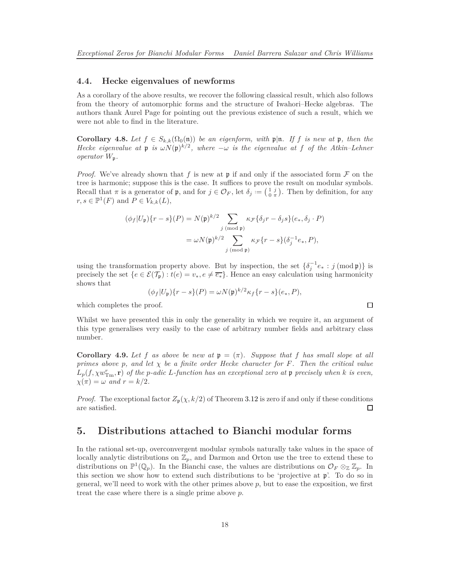#### **4.4. Hecke eigenvalues of newforms**

As a corollary of the above results, we recover the following classical result, which also follows from the theory of automorphic forms and the structure of Iwahori–Hecke algebras. The authors thank Aurel Page for pointing out the previous existence of such a result, which we were not able to find in the literature.

<span id="page-17-1"></span>**Corollary 4.8.** Let  $f \in S_{k,k}(\Omega_0(\mathfrak{n}))$  be an eigenform, with  $\mathfrak{p}|\mathfrak{n}$ . If *f* is new at  $\mathfrak{p}$ , then the *Hecke eigenvalue at*  $\mathfrak{p}$  *is*  $\omega N(\mathfrak{p})^{k/2}$ , where  $-\omega$  *is the eigenvalue at f of the Atkin–Lehner operator W*p*.*

*Proof.* We've already shown that  $f$  is new at  $\mathfrak p$  if and only if the associated form  $\mathcal F$  on the tree is harmonic; suppose this is the case. It suffices to prove the result on modular symbols. Recall that  $\pi$  is a generator of  $\mathfrak{p}$ , and for  $j \in \mathcal{O}_F$ , let  $\delta_j := \left(\begin{smallmatrix} 1 & j \\ 0 & \pi \end{smallmatrix}\right)$ . Then by definition, for any  $r, s \in \mathbb{P}^1(F)$  and  $P \in V_{k,k}(L)$ ,

$$
(\phi_f|U_{\mathfrak{p}})\{r-s\}(P) = N(\mathfrak{p})^{k/2} \sum_{j \pmod{\mathfrak{p}}} \kappa_{\mathcal{F}}\{\delta_j r - \delta_j s\}(e_*, \delta_j \cdot P)
$$

$$
= \omega N(\mathfrak{p})^{k/2} \sum_{j \pmod{\mathfrak{p}}} \kappa_{\mathcal{F}}\{r-s\}(\delta_j^{-1}e_*, P),
$$

using the transformation property above. But by inspection, the set  $\{\delta_j^{-1}e_* : j \text{ (mod } \mathfrak{p})\}$  is precisely the set  $\{e \in \mathcal{E}(\mathcal{T}_{p}) : t(e) = v_*, e \neq \overline{e_*}\}\.$  Hence an easy calculation using harmonicity shows that

$$
(\phi_f|U_{\mathfrak{p}})\{r-s\}(P) = \omega N(\mathfrak{p})^{k/2} \kappa_f\{r-s\}(e_*, P),
$$

which completes the proof.

Whilst we have presented this in only the generality in which we require it, an argument of this type generalises very easily to the case of arbitrary number fields and arbitrary class number.

<span id="page-17-0"></span>**Corollary 4.9.** Let f as above be new at  $\mathfrak{p} = (\pi)$ . Suppose that f has small slope at all *primes above p, and let χ be a finite order Hecke character for F. Then the critical value*  $L_p(f, \chi w_{\text{Tm}}^r, \mathbf{r})$  *of the p-adic L-function has an exceptional zero at*  $\mathfrak p$  *precisely when*  $k$  *is even,*  $\chi(\pi) = \omega$  *and*  $r = k/2$ .

*Proof.* The exceptional factor  $Z_p(\chi, k/2)$  of Theorem [3.12](#page-14-1) is zero if and only if these conditions are satisfied. □

### **5. Distributions attached to Bianchi modular forms**

In the rational set-up, overconvergent modular symbols naturally take values in the space of locally analytic distributions on  $\mathbb{Z}_p$ , and Darmon and Orton use the tree to extend these to distributions on  $\mathbb{P}^1(\mathbb{Q}_p)$ . In the Bianchi case, the values are distributions on  $\mathcal{O}_F \otimes_{\mathbb{Z}} \mathbb{Z}_p$ . In this section we show how to extend such distributions to be 'projective at p'. To do so in general, we'll need to work with the other primes above *p*, but to ease the exposition, we first treat the case where there is a single prime above *p*.

 $\Box$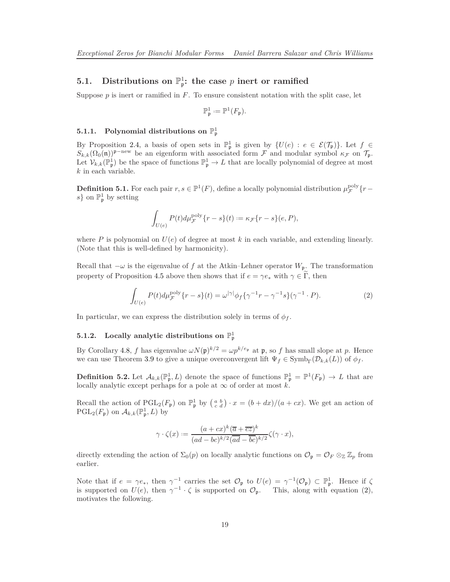# **5.1.** Distributions on  $\mathbb{P}^1_{\mathfrak{p}}$ : the case *p* inert or ramified

Suppose  $p$  is inert or ramified in  $F$ . To ensure consistent notation with the split case, let

$$
\mathbb{P}^1_{\mathfrak{p}} := \mathbb{P}^1(F_{\mathfrak{p}}).
$$

### **5.1.1.** Polynomial distributions on  $\mathbb{P}^1_\mathfrak{p}$

By Proposition [2.4,](#page-7-1) a basis of open sets in  $\mathbb{P}^1_{\mathfrak{p}}$  is given by  $\{U(e) : e \in \mathcal{E}(\mathcal{T}_{\mathfrak{p}})\}\.$  Let  $f \in$  $S_{k,k}(\Omega_0(\mathfrak{n}))^{\mathfrak{p}-\text{new}}$  be an eigenform with associated form F and modular symbol  $\kappa_F$  on  $\mathcal{T}_{\mathfrak{p}}$ . Let  $\mathcal{V}_{k,k}(\mathbb{P}_{\mathfrak{p}}^1)$  be the space of functions  $\mathbb{P}_{\mathfrak{p}}^1 \to L$  that are locally polynomial of degree at most *k* in each variable.

**Definition 5.1.** For each pair  $r, s \in \mathbb{P}^1(F)$ , define a locally polynomial distribution  $\mu_{\mathcal{F}}^{\text{poly}}\{r-\mathcal{F}^1(F)\}$  $s$ } on  $\mathbb{P}^1_{\mathfrak{p}}$  by setting

$$
\int_{U(e)} P(t) d\mu^{\text{poly}}_{\mathcal{F}} \{r-s\}(t) := \kappa_{\mathcal{F}} \{r-s\}(e, P),
$$

where  $P$  is polynomial on  $U(e)$  of degree at most  $k$  in each variable, and extending linearly. (Note that this is well-defined by harmonicity).

Recall that  $-\omega$  is the eigenvalue of *f* at the Atkin–Lehner operator  $W_p$ . The transformation property of Proposition [4.5](#page-16-0) above then shows that if  $e = \gamma e_*$  with  $\gamma \in \tilde{\Gamma}$ , then

<span id="page-18-0"></span>
$$
\int_{U(e)} P(t) d\mu_{\mathcal{F}}^{\text{poly}} \{r - s\}(t) = \omega^{|\gamma|} \phi_f \{ \gamma^{-1} r - \gamma^{-1} s \} (\gamma^{-1} \cdot P). \tag{2}
$$

In particular, we can express the distribution solely in terms of  $\phi_f$ .

### **5.1.2.** Locally analytic distributions on  $\mathbb{P}^1$

By Corollary [4.8,](#page-17-1) *f* has eigenvalue  $\omega N(\mathfrak{p})^{k/2} = \omega p^{k/e_{\mathfrak{p}}}$  at  $\mathfrak{p}$ , so *f* has small slope at *p*. Hence we can use Theorem [3.9](#page-12-0) to give a unique overconvergent lift  $\Psi_f \in \text{Symb}_{\Gamma}(\mathcal{D}_{k,k}(L))$  of  $\phi_f$ .

**Definition 5.2.** Let  $\mathcal{A}_{k,k}(\mathbb{P}_{\mathfrak{p}}^1, L)$  denote the space of functions  $\mathbb{P}_{\mathfrak{p}}^1 = \mathbb{P}^1(F_{\mathfrak{p}}) \to L$  that are locally analytic except perhaps for a pole at  $\infty$  of order at most *k*.

Recall the action of  $PGL_2(F_p)$  on  $\mathbb{P}^1_p$  by  $\left(\begin{smallmatrix} a & b \\ c & d \end{smallmatrix}\right) \cdot x = (b + dx)/(a + cx)$ . We get an action of  $\mathrm{PGL}_2(F_\mathfrak{p})$  on  $\mathcal{A}_{k,k}(\mathbb{P}_\mathfrak{p}^1,L)$  by

$$
\gamma \cdot \zeta(x) := \frac{(a+cx)^k (\overline{a} + \overline{cz})^k}{(ad-bc)^{k/2} (\overline{ad} - \overline{bc})^{k/2}} \zeta(\gamma \cdot x),
$$

directly extending the action of  $\Sigma_0(p)$  on locally analytic functions on  $\mathcal{O}_\mathfrak{p} = \mathcal{O}_F \otimes_{\mathbb{Z}} \mathbb{Z}_p$  from earlier.

Note that if  $e = \gamma e_*,$  then  $\gamma^{-1}$  carries the set  $\mathcal{O}_{\mathfrak{p}}$  to  $U(e) = \gamma^{-1}(\mathcal{O}_{\mathfrak{p}}) \subset \mathbb{P}_{\mathfrak{p}}^1$ . Hence if  $\zeta$ is supported on  $U(e)$ , then  $\gamma^{-1} \cdot \zeta$  is supported on  $\mathcal{O}_{\mathfrak{p}}$ . This, along with equation [\(2\)](#page-18-0), motivates the following.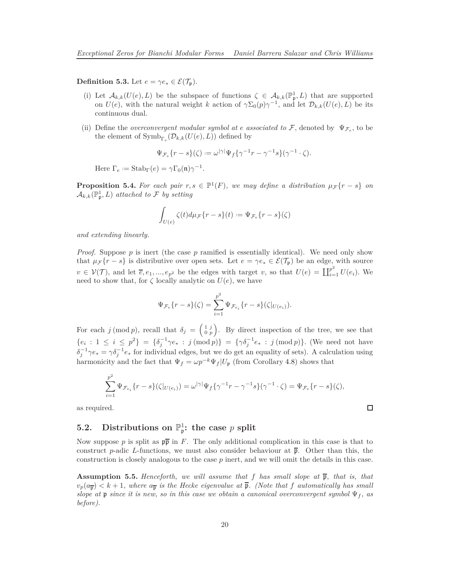**Definition 5.3.** Let  $e = \gamma e^* \in \mathcal{E}(\mathcal{T}_{p}).$ 

- (i) Let  $\mathcal{A}_{k,k}(U(e), L)$  be the subspace of functions  $\zeta \in \mathcal{A}_{k,k}(\mathbb{P}^1_{\mathfrak{p}}, L)$  that are supported on  $U(e)$ , with the natural weight *k* action of  $\gamma \Sigma_0(p) \gamma^{-1}$ , and let  $\mathcal{D}_{k,k}(U(e), L)$  be its continuous dual.
- (ii) Define the *overconvergent modular symbol at e associated to*  $\mathcal{F}$ , denoted by  $\Psi_{\mathcal{F}_e}$ , to be the element of  $\text{Symb}_{\Gamma_e}(\mathcal{D}_{k,k}(U(e), L))$  defined by

$$
\Psi_{\mathcal{F}_e}\{r-s\}(\zeta) := \omega^{|\gamma|}\Psi_f\{\gamma^{-1}r-\gamma^{-1}s\}(\gamma^{-1}\cdot\zeta).
$$

Here  $\Gamma_e := \text{Stab}_{\Gamma}(e) = \gamma \Gamma_0(\mathfrak{n}) \gamma^{-1}$ .

**Proposition 5.4.** For each pair  $r, s \in \mathbb{P}^1(F)$ , we may define a distribution  $\mu_{\mathcal{F}}\{r - s\}$  on  $\mathcal{A}_{k,k}(\mathbb{P}_{\mathfrak{p}}^1, L)$  *attached to*  $\mathcal F$  *by setting* 

$$
\int_{U(e)} \zeta(t) d\mu_{\mathcal{F}} \{r - s\}(t) := \Psi_{\mathcal{F}_e} \{r - s\}(\zeta)
$$

*and extending linearly.*

*Proof.* Suppose p is inert (the case p ramified is essentially identical). We need only show that  $\mu_{\mathcal{F}}\{r - s\}$  is distributive over open sets. Let  $e = \gamma e_* \in \mathcal{E}(\mathcal{T}_{\mathbf{p}})$  be an edge, with source  $v \in V(\mathcal{T})$ , and let  $\overline{e}, e_1, ..., e_{p^2}$  be the edges with target *v*, so that  $U(e) = \coprod_{i=1}^{p^2} U(e_i)$ . We need to show that, for  $\zeta$  locally analytic on  $U(e)$ , we have

$$
\Psi_{\mathcal{F}_e}\{r-s\}(\zeta) = \sum_{i=1}^{p^2} \Psi_{\mathcal{F}_{e_i}}\{r-s\}(\zeta|_{U(e_i)}).
$$

For each *j* (mod *p*), recall that  $\delta_j = \begin{pmatrix} 1 & j \\ 0 & p \end{pmatrix}$ . By direct inspection of the tree, we see that  ${e_i : 1 \le i \le p^2} = {\delta_j^{-1} \gamma e_* : j \pmod{p}} = {\gamma \delta_j^{-1} e_* : j \pmod{p}}$ . (We need not have  $\delta_j^{-1} \gamma e_* = \gamma \delta_j^{-1} e_*$  for individual edges, but we do get an equality of sets). A calculation using harmonicity and the fact that  $\Psi_f = \omega p^{-k} \Psi_f | U_{\mathfrak{p}}$  (from Corollary [4.8\)](#page-17-1) shows that

$$
\sum_{i=1}^{p^2} \Psi_{\mathcal{F}_{e_i}}\{r-s\}(\zeta|_{U(e_i)}) = \omega^{|\gamma|} \Psi_f\{\gamma^{-1}r-\gamma^{-1}s\}(\gamma^{-1}\cdot\zeta) = \Psi_{\mathcal{F}_e}\{r-s\}(\zeta),
$$

 $\Box$ 

as required.

# **5.2.** Distributions on  $\mathbb{P}^1_{\mathfrak{p}}$ : the case *p* split

Now suppose p is split as  $p\bar{p}$  in F. The only additional complication in this case is that to construct *p*-adic *L*-functions, we must also consider behaviour at  $\bar{p}$ . Other than this, the construction is closely analogous to the case *p* inert, and we will omit the details in this case.

**Assumption 5.5.** *Henceforth, we will assume that f has small slope at*  $\bar{p}$ *, that is, that*  $v_p(a_{\overline{p}}) < k+1$ , where  $a_{\overline{p}}$  is the Hecke eigenvalue at  $\overline{p}$ . (Note that *f* automatically has small *slope at* p *since it is new, so in this case we obtain a canonical overconvergent symbol*  $\Psi_f$ , as *before).*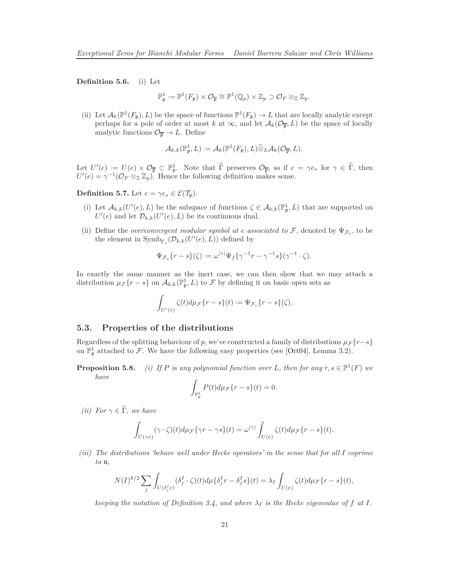<span id="page-20-0"></span>**Definition 5.6.** (i) Let

$$
\mathbb{P}^1_{\mathfrak{p}} := \mathbb{P}^1(F_{\mathfrak{p}}) \times \mathcal{O}_{\overline{\mathfrak{p}}} \cong \mathbb{P}^1(\mathbb{Q}_p) \times \mathbb{Z}_p \supset \mathcal{O}_F \otimes_{\mathbb{Z}} \mathbb{Z}_p.
$$

(ii) Let  $\mathcal{A}_k(\mathbb{P}^1(F_{\mathfrak{p}}), L)$  be the space of functions  $\mathbb{P}^1(F_{\mathfrak{p}}) \to L$  that are locally analytic except perhaps for a pole of order at most *k* at  $\infty$ , and let  $\mathcal{A}_k(\mathcal{O}_{\overline{p}}, L)$  be the space of locally analytic functions  $\mathcal{O}_{\overline{p}} \to L$ . Define

$$
\mathcal{A}_{k,k}(\mathbb{P}_{\mathfrak{p}}^1, L) := \mathcal{A}_k(\mathbb{P}^1(F_{\mathfrak{p}}), L) \widehat{\otimes}_L \mathcal{A}_k(\mathcal{O}_{\overline{\mathfrak{p}}}, L).
$$

Let  $U'(e) := U(e) \times \mathcal{O}_{\overline{p}} \subset \mathbb{P}_{p}^1$ . Note that  $\Gamma$  preserves  $\mathcal{O}_{\overline{p}}$ , so if  $e = \gamma e_*$  for  $\gamma \in \Gamma$ , then  $U'(e) = \gamma^{-1} (\mathcal{O}_F \otimes_{\mathbb{Z}} \mathbb{Z}_p)$ . Hence the following definition makes sense.

**Definition 5.7.** Let  $e = \gamma e^* \in \mathcal{E}(\mathcal{T}_{p}).$ 

- (i) Let  $\mathcal{A}_{k,k}(U'(e), L)$  be the subspace of functions  $\zeta \in \mathcal{A}_{k,k}(\mathbb{P}_{\mathfrak{p}}^1, L)$  that are supported on  $U'(e)$  and let  $\mathcal{D}_{k,k}(U'(e), L)$  be its continuous dual.
- (ii) Define the *overconvergent modular symbol at e associated to*  $\mathcal{F}$ , denoted by  $\Psi_{\mathcal{F}_e}$ , to be the element in  $\text{Symb}_{\Gamma_e}(\mathcal{D}_{k,k}(U'(e),L))$  defined by

$$
\Psi_{\mathcal{F}_e}\{r-s\}(\zeta):=\omega^{|\gamma|}\Psi_f\{\gamma^{-1}r-\gamma^{-1}s\}(\gamma^{-1}\cdot\zeta).
$$

In exactly the same manner as the inert case, we can then show that we may attach a distribution  $\mu_{\mathcal{F}}\{r - s\}$  on  $\mathcal{A}_{k,k}(\mathbb{P}_{p}^{1}, L)$  to  $\mathcal{F}$  by defining it on basic open sets as

$$
\int_{U'(e)} \zeta(t) d\mu_{\mathcal{F}}\{r-s\}(t):=\Psi_{\mathcal{F}_e}\{r-s\}(\zeta).
$$

#### **5.3. Properties of the distributions**

Regardless of the splitting behaviour of *p*, we've constructed a family of distributions  $\mu \mathcal{F} \{r-s\}$ on  $\mathbb{P}^1_{\mathfrak{p}}$  attached to F. We have the following easy properties (see [\[Ort04\]](#page-35-1), Lemma 3.2).

**Proposition 5.8.** *(i)* If P is any polynomial function over L, then for any  $r, s \in \mathbb{P}^1(F)$  we *have*

$$
\int_{\mathbb{P}^1_{\mathfrak{p}}}P(t)d\mu_{\mathcal{F}}\{r-s\}(t)=0.
$$

*(ii)* For  $\gamma \in \widetilde{\Gamma}$ , we have

$$
\int_{U(\gamma e)} (\gamma \cdot \zeta)(t) d\mu_{\mathcal{F}} \{ \gamma r - \gamma s \}(t) = \omega^{|\gamma|} \int_{U(e)} \zeta(t) d\mu_{\mathcal{F}} \{r - s \}(t).
$$

*(iii) The distributions 'behave well under Hecke operators' in the sense that for all I coprime to* n*,*

$$
N(I)^{k/2} \sum_{j} \int_{U(\delta_j^I e)} (\delta_j^I \cdot \zeta)(t) d\mu \{\delta_j^I r - \delta_j^I s\}(t) = \lambda_I \int_{U(e)} \zeta(t) d\mu_{\mathcal{F}} \{r - s\}(t),
$$

*keeping the notation of Definition* [3.4,](#page-11-1) and where  $\lambda_I$  is the Hecke eigenvalue of f at I.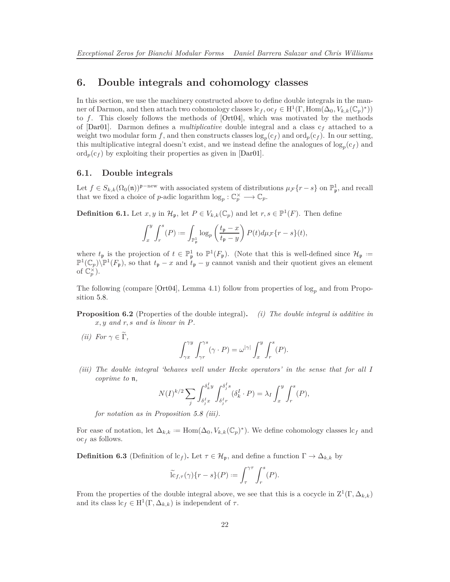### <span id="page-21-1"></span>**6. Double integrals and cohomology classes**

In this section, we use the machinery constructed above to define double integrals in the manner of Darmon, and then attach two cohomology classes  $lc_f$ ,  $oc_f \in H^1(\Gamma, \text{Hom}(\Delta_0, V_{k,k}(\mathbb{C}_p)^*))$ to *f*. This closely follows the methods of [\[Ort04\]](#page-35-1), which was motivated by the methods of [\[Dar01\]](#page-34-2). Darmon defines a *multiplicative* double integral and a class c*<sup>f</sup>* attached to a weight two modular form  $f$ , and then constructs classes  $\log_p(c_f)$  and  $\text{ord}_p(c_f)$ . In our setting, this multiplicative integral doesn't exist, and we instead define the analogues of  $\log_p(c_f)$  and  $\operatorname{ord}_p(c_f)$  by exploiting their properties as given in [\[Dar01\]](#page-34-2).

### **6.1. Double integrals**

Let  $f \in S_{k,k}(\Omega_0(\mathfrak{n}))^{\mathfrak{p}-\text{new}}$  with associated system of distributions  $\mu_{\mathcal{F}}\{r-s\}$  on  $\mathbb{P}^1_{\mathfrak{p}}$ , and recall that we fixed a choice of *p*-adic logarithm  $\log_p : \mathbb{C}_p^{\times} \longrightarrow \mathbb{C}_p$ .

**Definition 6.1.** Let  $x, y$  in  $\mathcal{H}_{\mathfrak{p}}$ , let  $P \in V_{k,k}(\mathbb{C}_p)$  and let  $r, s \in \mathbb{P}^1(F)$ . Then define

$$
\int_x^y \int_r^s (P) := \int_{\mathbb{P}^1_{\mathfrak{p}}} \log_p \left( \frac{t_{\mathfrak{p}} - x}{t_{\mathfrak{p}} - y} \right) P(t) d\mu_{\mathcal{F}} \{r - s\}(t),
$$

where  $t_{\mathfrak{p}}$  is the projection of  $t \in \mathbb{P}^1_{\mathfrak{p}}$  to  $\mathbb{P}^1(F_{\mathfrak{p}})$ . (Note that this is well-defined since  $\mathcal{H}_{\mathfrak{p}} :=$  $\mathbb{P}^1(\mathbb{C}_p)\backslash\mathbb{P}^1(F_{\mathfrak{p}})$ , so that  $t_{\mathfrak{p}}-x$  and  $t_{\mathfrak{p}}-y$  cannot vanish and their quotient gives an element of  $\mathbb{C}_p^{\times}$ ).

The following (compare [\[Ort04\]](#page-35-1), Lemma 4.1) follow from properties of log*<sup>p</sup>* and from Proposition 5.8.

**Proposition 6.2** (Properties of the double integral)**.** *(i) The double integral is additive in x, y and r, s and is linear in P.*

*(ii)*  $For \gamma \in \widetilde{\Gamma}$ ,

$$
\int_{\gamma x}^{\gamma y} \int_{\gamma r}^{\gamma s} (\gamma \cdot P) = \omega^{|\gamma|} \int_{x}^{y} \int_{r}^{s} (P).
$$

*(iii) The double integral 'behaves well under Hecke operators' in the sense that for all I coprime to* n*,*

$$
N(I)^{k/2} \sum_{j} \int_{\delta_j^I x}^{\delta_k^I y} \int_{\delta_j^I r}^{\delta_j^I s} (\delta_k^I \cdot P) = \lambda_I \int_x^y \int_r^s (P),
$$

*for notation as in Proposition 5.8 (iii).*

For ease of notation, let  $\Delta_{k,k} := \text{Hom}(\Delta_0, V_{k,k}(\mathbb{C}_p)^*)$ . We define cohomology classes  $\text{lc}_f$  and oc*<sup>f</sup>* as follows.

<span id="page-21-0"></span>**Definition 6.3** (Definition of lc<sub>f</sub>). Let  $\tau \in \mathcal{H}_{\mathfrak{p}}$ , and define a function  $\Gamma \to \Delta_{k,k}$  by

$$
\widetilde{\mathrm{lc}}_{f,\tau}(\gamma)\{r-s\}(P) := \int_{\tau}^{\gamma\tau} \int_{r}^{s}(P).
$$

From the properties of the double integral above, we see that this is a cocycle in  $\mathbb{Z}^1(\Gamma, \Delta_{k,k})$ and its class  $lc_f \in H^1(\Gamma, \Delta_{k,k})$  is independent of  $\tau$ .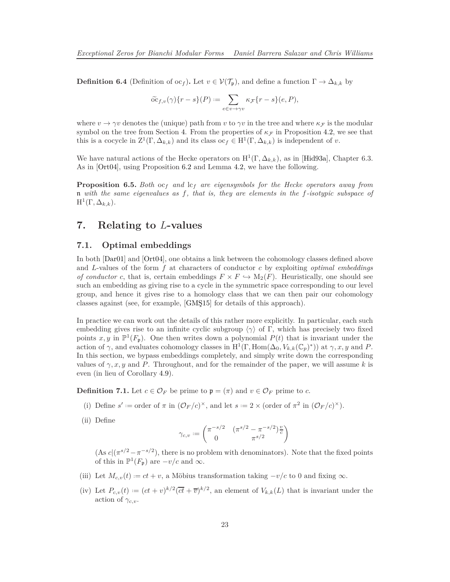<span id="page-22-0"></span>**Definition 6.4** (Definition of  $oc_f$ ). Let  $v \in V(\mathcal{T}_{p})$ , and define a function  $\Gamma \to \Delta_{k,k}$  by

$$
\widetilde{\mathrm{oc}}_{f,v}(\gamma)\lbrace r-s\rbrace(P):=\sum_{e\in v\to\gamma v}\kappa_{\mathcal{F}}\lbrace r-s\rbrace(e,P),
$$

where  $v \to \gamma v$  denotes the (unique) path from *v* to  $\gamma v$  in the tree and where  $\kappa_F$  is the modular symbol on the tree from Section [4.](#page-14-2) From the properties of  $\kappa_F$  in Proposition [4.2,](#page-15-0) we see that this is a cocycle in  $Z^1(\Gamma, \Delta_{k,k})$  and its class  $oc_f \in H^1(\Gamma, \Delta_{k,k})$  is independent of *v*.

We have natural actions of the Hecke operators on  $H^1(\Gamma, \Delta_{k,k})$ , as in [\[Hid93a\]](#page-35-10), Chapter 6.3. As in [\[Ort04\]](#page-35-1), using Proposition 6.2 and Lemma [4.2,](#page-15-0) we have the following.

**Proposition 6.5.** *Both*  $oc_f$  *and*  $lc_f$  *are eigensymbols for the Hecke operators away from* n *with the same eigenvalues as f, that is, they are elements in the f-isotypic subspace of*  $\mathrm{H}^1(\Gamma, \Delta_{k,k}).$ 

### **7. Relating to** *L***-values**

### **7.1. Optimal embeddings**

In both [\[Dar01\]](#page-34-2) and [\[Ort04\]](#page-35-1), one obtains a link between the cohomology classes defined above and *L*-values of the form *f* at characters of conductor *c* by exploiting *optimal embeddings of conductor c*, that is, certain embeddings  $F \times F \hookrightarrow M_2(F)$ . Heuristically, one should see such an embedding as giving rise to a cycle in the symmetric space corresponding to our level group, and hence it gives rise to a homology class that we can then pair our cohomology classes against (see, for example, [\[GMŞ15\]](#page-34-5) for details of this approach).

In practice we can work out the details of this rather more explicitly. In particular, each such embedding gives rise to an infinite cyclic subgroup  $\langle \gamma \rangle$  of Γ, which has precisely two fixed points  $x, y$  in  $\mathbb{P}^1(F_p)$ . One then writes down a polynomial  $P(t)$  that is invariant under the action of  $\gamma$ , and evaluates cohomology classes in H<sup>1</sup>(Γ, Hom( $\Delta_0$ ,  $V_{k,k}(\mathbb{C}_p)^*$ )) at  $\gamma$ , x, y and *P*. In this section, we bypass embeddings completely, and simply write down the corresponding values of  $\gamma$ , x, y and P. Throughout, and for the remainder of the paper, we will assume k is even (in lieu of Corollary [4.9\)](#page-17-0).

**Definition 7.1.** Let  $c \in \mathcal{O}_F$  be prime to  $\mathfrak{p} = (\pi)$  and  $v \in \mathcal{O}_F$  prime to *c*.

- (i) Define  $s' :=$  order of  $\pi$  in  $(\mathcal{O}_F/c)^{\times}$ , and let  $s := 2 \times$  (order of  $\pi^2$  in  $(\mathcal{O}_F/c)^{\times}$ ).
- (ii) Define

$$
\gamma_{c,v} := \begin{pmatrix} \pi^{-s/2} & (\pi^{s/2} - \pi^{-s/2})\frac{v}{c} \\ 0 & \pi^{s/2} \end{pmatrix}
$$

 $(As c | (\pi^{s/2} - \pi^{-s/2}),$  there is no problem with denominators). Note that the fixed points of this in  $\mathbb{P}^1(F_{\mathfrak{p}})$  are  $-v/c$  and  $\infty$ .

- (iii) Let  $M_{c,v}(t) := ct + v$ , a Möbius transformation taking  $-v/c$  to 0 and fixing  $\infty$ .
- (iv) Let  $P_{c,v}(t) := (ct + v)^{k/2}(\overline{ct} + \overline{v})^{k/2}$ , an element of  $V_{k,k}(L)$  that is invariant under the action of  $\gamma_{c,v}$ .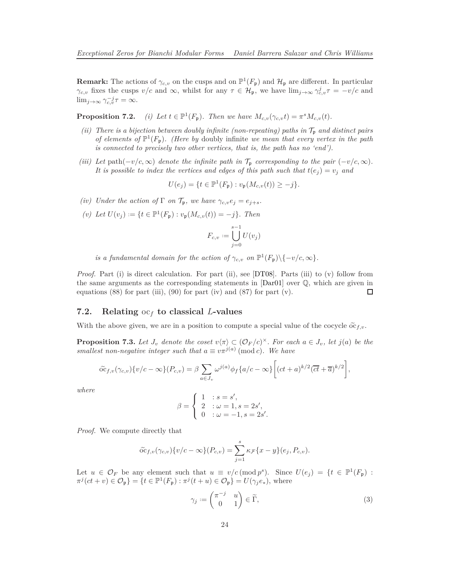<span id="page-23-2"></span>**Remark:** The actions of  $\gamma_{c,v}$  on the cusps and on  $\mathbb{P}^1(F_{\mathfrak{p}})$  and  $\mathcal{H}_{\mathfrak{p}}$  are different. In particular *γ*<sub>c,*v*</sub> fixes the cusps *v/c* and ∞, whilst for any  $\tau \in H_{\mathfrak{p}}$ , we have  $\lim_{j\to\infty} \gamma_{c,v}^j \tau = -v/c$  and  $\lim_{j\to\infty} \gamma_{c,v}^{-j}\tau = \infty.$ 

**Proposition 7.2.**  $^{1}(F_{p})$ *. Then we have*  $M_{c,v}(\gamma_{c,v}t) = \pi^{s}M_{c,v}(t)$ *.* 

- *(ii) There is a bijection between doubly infinite (non-repeating) paths in*  $\mathcal{T}_p$  *and distinct pairs of elements of*  $\mathbb{P}^1(F_p)$ *. (Here by doubly infinite we mean that every vertex in the path is connected to precisely two other vertices, that is, the path has no 'end').*
- *(iii)* Let path $(-v/c, \infty)$  denote the infinite path in  $\mathcal{T}_p$  *corresponding to the pair*  $(-v/c, \infty)$ *. It is possible to index the vertices and edges of this path such that*  $t(e_j) = v_j$  *and*

$$
U(e_j) = \{ t \in \mathbb{P}^1(F_{\mathfrak{p}}) : v_{\mathfrak{p}}(M_{c,v}(t)) \ge -j \}.
$$

- *(iv)* Under the action of  $\Gamma$  *on*  $\mathcal{T}_p$ *, we have*  $\gamma_{c,v}e_j = e_{j+s}$ *.*
- $(v)$  *Let*  $U(v_j) := \{ t \in \mathbb{P}^1(F_{\mathfrak{p}}) : v_{\mathfrak{p}}(M_{c,v}(t)) = -j \}$ *. Then*

$$
F_{c,v}:=\bigcup_{j=0}^{s-1}U(v_j)
$$

*is a fundamental domain for the action of*  $\gamma_{c,v}$  *on*  $\mathbb{P}^1(F_p)\setminus\{-v/c,\infty\}.$ 

*Proof.* Part (i) is direct calculation. For part (ii), see [\[DT08\]](#page-34-9). Parts (iii) to (v) follow from the same arguments as the corresponding statements in [\[Dar01\]](#page-34-2) over Q, which are given in equations  $(88)$  for part (iii),  $(90)$  for part (iv) and  $(87)$  for part (v).  $\Box$ 

### <span id="page-23-0"></span>**7.2. Relating** oc*<sup>f</sup>* **to classical** *L***-values**

With the above given, we are in a position to compute a special value of the cocycle  $\tilde{\alpha}_{f,v}$ .

**Proposition 7.3.** Let  $J_v$  denote the coset  $v\langle \pi \rangle \subset (\mathcal{O}_F/c)^{\times}$ . For each  $a \in J_v$ , let  $j(a)$  be the *smallest non-negative integer such that*  $a \equiv v\pi^{j(a)} \pmod{c}$ . We have

$$
\widetilde{\mathrm{oc}}_{f,v}(\gamma_{c,v})\{v/c - \infty\}(P_{c,v}) = \beta \sum_{a \in J_v} \omega^{j(a)} \phi_f\{a/c - \infty\} \bigg[ (ct + a)^{k/2} (\overline{ct} + \overline{a})^{k/2} \bigg],
$$

*where*

$$
\beta = \left\{ \begin{array}{ll} 1 & :s=s', \\ 2 & : \omega = 1, s=2s', \\ 0 & : \omega = -1, s=2s'. \end{array} \right.
$$

*Proof.* We compute directly that

$$
\widetilde{\mathrm{oc}}_{f,v}(\gamma_{c,v})\{v/c - \infty\}(P_{c,v}) = \sum_{j=1}^{s} \kappa_{\mathcal{F}}\{x - y\}(e_j, P_{c,v}).
$$

Let  $u \in \mathcal{O}_F$  be any element such that  $u \equiv v/c \pmod{p^s}$ . Since  $U(e_j) = \{t \in \mathbb{P}^1(F_{\mathfrak{p}}) :$  $\pi^{j}(ct + v) \in \mathcal{O}_{\mathfrak{p}}$  = { $t \in \mathbb{P}^{1}(F_{\mathfrak{p}}) : \pi^{j}(t + u) \in \mathcal{O}_{\mathfrak{p}}$ } =  $U(\gamma_{j}e_{*}),$  where

<span id="page-23-1"></span>
$$
\gamma_j := \begin{pmatrix} \pi^{-j} & u \\ 0 & 1 \end{pmatrix} \in \widetilde{\Gamma},\tag{3}
$$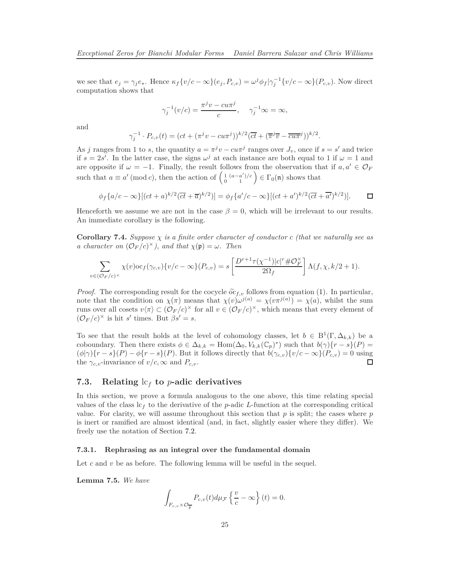we see that  $e_j = \gamma_j e_*$ . Hence  $\kappa_f \{v/c - \infty\}(e_j, P_{c,v}) = \omega^j \phi_f |\gamma_j^{-1} \{v/c - \infty\}(P_{c,v})$ . Now direct computation shows that

$$
\gamma_j^{-1}(v/c) = \frac{\pi^j v - cu\pi^j}{c}, \quad \gamma_j^{-1} \infty = \infty,
$$

and

$$
\gamma_j^{-1} \cdot P_{c,v}(t) = (ct + (\pi^j v - cu\pi^j))^{k/2} (\overline{ct} + (\overline{\pi}^j \overline{v} - \overline{cu\pi}^j))^{k/2}.
$$

As *j* ranges from 1 to *s*, the quantity  $a = \pi^{j}v - cu\pi^{j}$  ranges over  $J_{v}$ , once if  $s = s'$  and twice if  $s = 2s'$ . In the latter case, the signs  $\omega^j$  at each instance are both equal to 1 if  $\omega = 1$  and are opposite if  $\omega = -1$ . Finally, the result follows from the observation that if  $a, a' \in \mathcal{O}_F$ such that  $a \equiv a' \pmod{c}$ , then the action of  $\begin{pmatrix} 1 & (a-a')/c \\ 0 & 1 \end{pmatrix} \in \Gamma_0(\mathfrak{n})$  shows that

$$
\phi_f\{a/c - \infty\}[(ct + a)^{k/2}(\overline{ct} + \overline{a})^{k/2})] = \phi_f\{a'/c - \infty\}[(ct + a')^{k/2}(\overline{ct} + \overline{a'})^{k/2})]. \qquad \Box
$$

Henceforth we assume we are not in the case  $\beta = 0$ , which will be irrelevant to our results. An immediate corollary is the following.

<span id="page-24-1"></span>**Corollary 7.4.** *Suppose χ is a finite order character of conductor c (that we naturally see as a character on*  $(\mathcal{O}_F/c)^{\times}$ *), and that*  $\chi(\mathfrak{p}) = \omega$ *. Then* 

$$
\sum_{v \in (\mathcal{O}_F/c)^{\times}} \chi(v) \text{oc}_f(\gamma_{c,v}) \{v/c - \infty\} (P_{c,v}) = s \left[ \frac{D^{r+1} \tau(\chi^{-1}) |c|^r \# \mathcal{O}_F^{\times}}{2\Omega_f} \right] \Lambda(f, \chi, k/2 + 1).
$$

*Proof.* The corresponding result for the cocycle  $\tilde{\sigma} \tilde{\epsilon}_{f,v}$  follows from equation [\(1\)](#page-11-2). In particular, note that the condition on  $\chi(\pi)$  means that  $\chi(v)\omega^{j(a)} = \chi(v\pi^{j(a)}) = \chi(a)$ , whilst the sum runs over all cosets  $v\langle\pi\rangle \subset (\mathcal{O}_F/c)^{\times}$  for all  $v \in (\mathcal{O}_F/c)^{\times}$ , which means that every element of  $(\mathcal{O}_F/c)^{\times}$  is hit *s'* times. But  $\beta s' = s$ .

To see that the result holds at the level of cohomology classes, let  $b \in B^1(\Gamma, \Delta_{k,k})$  be a coboundary. Then there exists  $\phi \in \Delta_{k,k} = \text{Hom}(\Delta_0, V_{k,k}(\mathbb{C}_p)^*)$  such that  $b(\gamma)\{r-s\}(P) =$  $(\phi|\gamma)\{r-s\}(P)-\phi\{r-s\}(P)$ . But it follows directly that  $b(\gamma_{c,v})\{v/c-\infty\}(P_{c,v})=0$  using the  $\gamma_{c,v}$ -invariance of  $v/c, \infty$  and  $P_{c,v}$ . □

### **7.3. Relating** lc*<sup>f</sup>* **to** *p***-adic derivatives**

In this section, we prove a formula analogous to the one above, this time relating special values of the class  $c_f$  to the derivative of the *p*-adic *L*-function at the corresponding critical value. For clarity, we will assume throughout this section that *p* is split; the cases where *p* is inert or ramified are almost identical (and, in fact, slightly easier where they differ). We freely use the notation of Section [7.2.](#page-23-0)

#### **7.3.1. Rephrasing as an integral over the fundamental domain**

Let c and v be as before. The following lemma will be useful in the sequel.

<span id="page-24-0"></span>**Lemma 7.5.** *We have*

$$
\int_{F_{c,v}\times \mathcal{O}_{\overline{\mathfrak{p}}}} P_{c,v}(t) d\mu_{\mathcal{F}}\left\{ \frac{v}{c} - \infty \right\}(t) = 0.
$$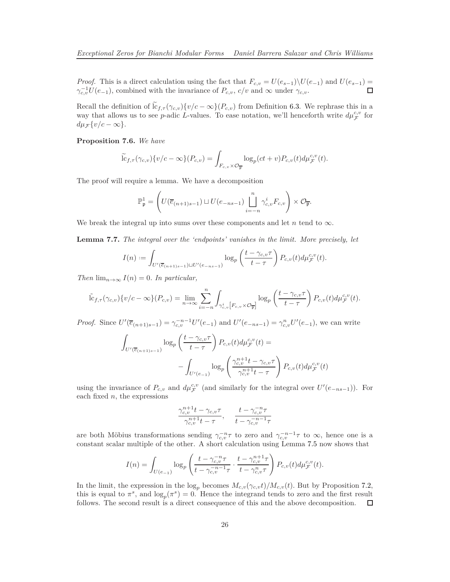*Proof.* This is a direct calculation using the fact that  $F_{c,v} = U(e_{s-1})\setminus U(e_{-1})$  and  $U(e_{s-1}) =$  $\gamma_{c,v}^{-1}U(e_{-1})$ , combined with the invariance of  $P_{c,v}$ ,  $c/v$  and ∞ under  $\gamma_{c,v}$ .

Recall the definition of  $\hat{c}_{f,\tau}(\gamma_{c,v})\{v/c - \infty\}(P_{c,v})$  from Definition [6.3.](#page-21-0) We rephrase this in a way that allows us to see *p*-adic *L*-values. To ease notation, we'll henceforth write  $d\mu_{\mathcal{F}}^{c,v}$  for  $d\mu \neq \{v/c - \infty\}.$ 

#### <span id="page-25-0"></span>**Proposition 7.6.** *We have*

$$
\widetilde{\mathrm{lc}}_{f,\tau}(\gamma_{c,v})\{v/c-\infty\}(P_{c,v})=\int_{F_{c,v}\times\mathcal{O}_{\overline{\mathfrak{p}}}}\log_p(ct+v)P_{c,v}(t)d\mu_{\mathcal{F}}^{c,v}(t).
$$

The proof will require a lemma. We have a decomposition

$$
\mathbb{P}_{\mathfrak{p}}^1 = \left( U(\overline{e}_{(n+1)s-1}) \sqcup U(e_{-ns-1}) \bigsqcup_{i=-n}^n \gamma_{c,v}^i F_{c,v} \right) \times \mathcal{O}_{\overline{\mathfrak{p}}}.
$$

We break the integral up into sums over these components and let  $n$  tend to  $\infty$ .

<span id="page-25-1"></span>**Lemma 7.7.** *The integral over the 'endpoints' vanishes in the limit. More precisely, let*

$$
I(n) := \int_{U'(\overline{e}_{(n+1)s-1}) \sqcup U'(e_{-ns-1})} \log_p\left(\frac{t - \gamma_{c,v}\tau}{t - \tau}\right) P_{c,v}(t) d\mu_{\mathcal{F}}^{c,v}(t).
$$

*Then*  $\lim_{n\to\infty} I(n) = 0$ *. In particular,* 

$$
\tilde{\mathrm{lc}}_{f,\tau}(\gamma_{c,v})\{v/c-\infty\}(P_{c,v})=\lim_{n\to\infty}\sum_{i=-n}^n\int_{\gamma_{c,v}^i\left[F_{c,v}\times\mathcal{O}_{\overline{\mathfrak{p}}}\right]}\log_p\left(\frac{t-\gamma_{c,v}\tau}{t-\tau}\right)P_{c,v}(t)d\mu_{\mathcal{F}}^{c,v}(t).
$$

*Proof.* Since  $U'(\overline{e}_{(n+1)s-1}) = \gamma_{c,v}^{-n-1} U'(e_{-1})$  and  $U'(e_{-ns-1}) = \gamma_{c,v}^n U'(e_{-1})$ , we can write

$$
\int_{U'(\overline{e}_{(n+1)s-1})} \log_p \left( \frac{t - \gamma_{c,v} \tau}{t - \tau} \right) P_{c,v}(t) d\mu_{\mathcal{F}}^{c,v}(t) = - \int_{U'(e-1)} \log_p \left( \frac{\gamma_{c,v}^{n+1} t - \gamma_{c,v} \tau}{\gamma_{c,v}^{n+1} t - \tau} \right) P_{c,v}(t) d\mu_{\mathcal{F}}^{c,v}(t)
$$

using the invariance of  $P_{c,v}$  and  $d\mu_{\mathcal{F}}^{c,v}$  (and similarly for the integral over  $U'(e_{-ns-1})$ ). For each fixed *n*, the expressions

$$
\frac{\gamma_{c,v}^{n+1}t - \gamma_{c,v}\tau}{\gamma_{c,v}^{n+1}t - \tau}, \quad \frac{t - \gamma_{c,v}^{-n}\tau}{t - \gamma_{c,v}^{-n-1}\tau}
$$

are both Möbius transformations sending  $\gamma_{c,v}^{-n} \tau$  to zero and  $\gamma_{c,v}^{-n-1} \tau$  to  $\infty$ , hence one is a constant scalar multiple of the other. A short calculation using Lemma [7.5](#page-24-0) now shows that

$$
I(n) = \int_{U(e_{-1})} \log_p \left( \frac{t - \gamma_{c,v}^{-n} \tau}{t - \gamma_{c,v}^{-n-1} \tau} \cdot \frac{t - \gamma_{c,v}^{n+1} \tau}{t - \gamma_{c,v}^n \tau} \right) P_{c,v}(t) d\mu_{\mathcal{F}}^{c,v}(t).
$$

In the limit, the expression in the  $\log_p$  becomes  $M_{c,v}(\gamma_{c,v}t)/M_{c,v}(t)$ . But by Proposition 7.2, this is equal to  $\pi^s$ , and  $\log_p(\pi^s) = 0$ . Hence the integrand tends to zero and the first result follows. The second result is a direct consequence of this and the above decomposition.  $\Box$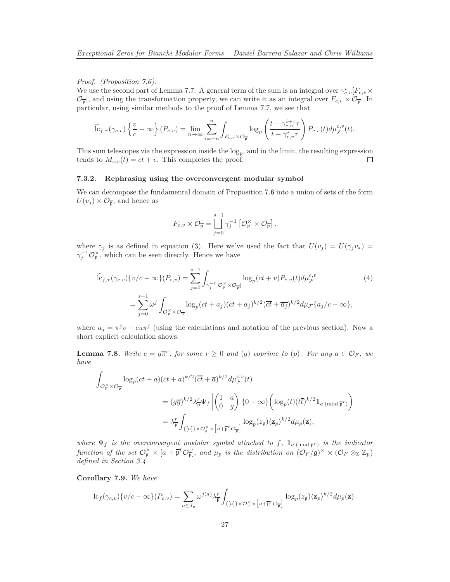*Proof. (Proposition [7.6\)](#page-25-0)*.

We use the second part of Lemma [7.7.](#page-25-1) A general term of the sum is an integral over  $\gamma_{c,v}^i[F_{c,v} \times$  $\mathcal{O}_{\overline{p}}$ , and using the transformation property, we can write it as an integral over  $F_{c,v} \times \mathcal{O}_{\overline{p}}$ . In particular, using similar methods to the proof of Lemma [7.7,](#page-25-1) we see that

$$
\widetilde{\mathrm{lc}}_{f,\tau}(\gamma_{c,v})\left\{\frac{v}{c}-\infty\right\}(P_{c,v})=\lim_{n\to\infty}\sum_{i=-n}^n\int_{F_{c,v}\times\mathcal{O}_{\overline{\mathfrak{p}}}}\log_p\left(\frac{t-\gamma_{c,v}^{i+1}\tau}{t-\gamma_{c,v}^i\tau}\right)P_{c,v}(t)d\mu_{\mathcal{F}}^{c,v}(t).
$$

This sum telescopes via the expression inside the  $log_p$ , and in the limit, the resulting expression tends to  $M_{c,v}(t) = ct + v$ . This completes the proof. □

#### **7.3.2. Rephrasing using the overconvergent modular symbol**

We can decompose the fundamental domain of Proposition [7.6](#page-25-0) into a union of sets of the form  $U(v_j) \times \mathcal{O}_{\overline{p}}$ , and hence as

<span id="page-26-0"></span>
$$
F_{c,v} \times \mathcal{O}_{\overline{\mathfrak{p}}} = \bigsqcup_{j=0}^{s-1} \gamma_j^{-1} \left[ \mathcal{O}_{\mathfrak{p}}^{\times} \times \mathcal{O}_{\overline{\mathfrak{p}}} \right],
$$

where  $\gamma_j$  is as defined in equation [\(3\)](#page-23-1). Here we've used the fact that  $U(v_j) = U(\gamma_j v_*)$  $\gamma_j^{-1} \mathcal{O}_\mathfrak{p}^\times$ , which can be seen directly. Hence we have

$$
\widetilde{\mathrm{lc}}_{f,\tau}(\gamma_{c,v})\{v/c-\infty\}(P_{c,v}) = \sum_{j=0}^{s-1} \int_{\gamma_j^{-1}[\mathcal{O}_\mathfrak{p}^\times \times \mathcal{O}_\mathfrak{p}^-]} \log_p(ct+v) P_{c,v}(t) d\mu_{\mathcal{F}}^{c,v}
$$
\n
$$
= \sum_{j=0}^{s-1} \omega^j \int_{\mathcal{O}_\mathfrak{p}^\times \times \mathcal{O}_\mathfrak{p}^-} \log_p(ct+a_j)(ct+a_j)^{k/2} (\overline{ct}+\overline{a_j})^{k/2} d\mu_{\mathcal{F}}\{a_j/c-\infty\},
$$
\n(4)

where  $a_j = \pi^j v - cu\pi^j$  (using the calculations and notation of the previous section). Now a short explicit calculation shows:

<span id="page-26-1"></span>**Lemma 7.8.** *Write*  $c = g\overline{\pi}^r$ , for some  $r \geq 0$  and (g) coprime to (p). For any  $a \in \mathcal{O}_F$ , we *have*

$$
\begin{split} \int_{\mathcal{O}_{\mathfrak{p}}^{\times} \times \mathcal{O}_{\overline{\mathfrak{p}}}} \log_{p} (ct+a)(ct+a)^{k/2} (\overline{ct}+\overline{a})^{k/2} d\mu_{\mathcal{F}}^{c,v}(t) \\ & = (g\overline{g})^{k/2} \lambda_{\overline{\mathfrak{p}}}^{\times} \Psi_{f} \left| \begin{pmatrix} 1 & a \\ 0 & g \end{pmatrix} \{ 0 - \infty \} \left( \log_{p}(t)(t\overline{t})^{k/2} \mathbf{1}_{a \pmod{\overline{\mathfrak{p}}}^r} \right) \right. \\ & = \lambda_{\overline{\mathfrak{p}}}^{\times} \int_{\{[a]\} \times \mathcal{O}_{\mathfrak{p}}^{\times} \times \left[ a + \overline{\mathfrak{p}}^r \mathcal{O}_{\overline{\mathfrak{p}}} \right]} \log_{p}(z_{\mathfrak{p}}) \langle \mathbf{z}_{p} \rangle^{k/2} d\mu_{p}(\mathbf{z}), \end{split}
$$

*where*  $\Psi_f$  *is the overconvergent modular symbol attached to f,*  $\mathbf{1}_{a \pmod{p^r}}$  *is the indicator function of the set*  $\mathcal{O}_\mathfrak{p}^\times \times [a + \overline{\mathfrak{p}}^r \mathcal{O}_{\overline{\mathfrak{p}}}]$ , and  $\mu_p$  is the distribution on  $(\mathcal{O}_F/\mathfrak{g})^\times \times (\mathcal{O}_F \otimes_{\mathbb{Z}} \mathbb{Z}_p)$ *defined in Section [3.4.](#page-12-1)*

<span id="page-26-2"></span>**Corollary 7.9.** *We have*

$$
\mathrm{lc}_f(\gamma_{c,v})\{v/c-\infty\}(P_{c,v})=\sum_{a\in J_v}\omega^{j(a)}\lambda_{\overline{\mathfrak{p}}}^r\int_{\{[a]\}\times\mathcal{O}_{\mathfrak{p}}^\times\times\left[a+\overline{\mathfrak{p}}^r\mathcal{O}_{\overline{\mathfrak{p}}}\right]}\log_p(z_{\mathfrak{p}})\langle\mathbf{z}_p\rangle^{k/2}d\mu_p(\mathbf{z}).
$$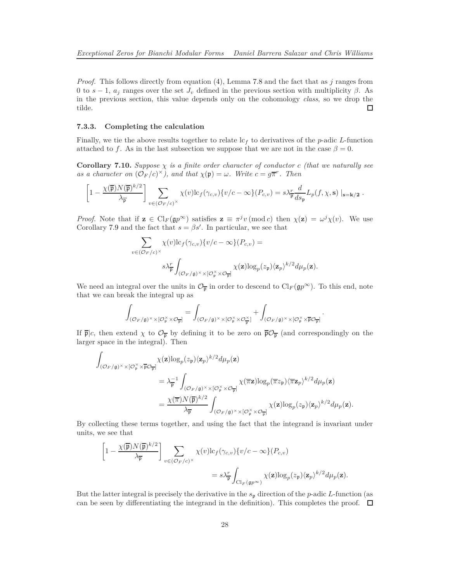*Proof.* This follows directly from equation [\(4\)](#page-26-0), Lemma [7.8](#page-26-1) and the fact that as *j* ranges from 0 to  $s - 1$ ,  $a_j$  ranges over the set  $J_v$  defined in the previous section with multiplicity  $\beta$ . As in the previous section, this value depends only on the cohomology *class*, so we drop the tilde. □

#### **7.3.3. Completing the calculation**

Finally, we tie the above results together to relate  $c_f$  to derivatives of the *p*-adic *L*-function attached to *f*. As in the last subsection we suppose that we are not in the case  $\beta = 0$ .

<span id="page-27-0"></span>**Corollary 7.10.** *Suppose*  $\chi$  *is a finite order character of conductor c (that we naturally see as a character on*  $(\mathcal{O}_F/c)^{\times}$ *), and that*  $\chi(\mathfrak{p}) = \omega$ *. Write*  $c = g\overline{\pi}^r$ *. Then* 

$$
\left[1-\frac{\chi(\overline{\mathfrak{p}})N(\overline{\mathfrak{p}})^{k/2}}{\lambda_{\overline{\mathfrak{p}}}}\right] \sum_{v \in (\mathcal{O}_F/c)^{\times}} \chi(v) \mathrm{lc}_{f}(\gamma_{c,v}) \{v/c - \infty\} (P_{c,v}) = s \lambda_{\overline{\mathfrak{p}}}^r \frac{d}{ds_{\mathfrak{p}}} L_p(f, \chi, \mathbf{s}) \mid_{\mathbf{s} = \mathbf{k}/2}.
$$

*Proof.* Note that if  $\mathbf{z} \in \mathrm{Cl}_F(\mathfrak{g}p^{\infty})$  satisfies  $\mathbf{z} \equiv \pi^j v \pmod{c}$  then  $\chi(\mathbf{z}) = \omega^j \chi(v)$ . We use Corollary [7.9](#page-26-2) and the fact that  $s = \beta s'$ . In particular, we see that

$$
\sum_{v \in (\mathcal{O}_F/c)^{\times}} \chi(v) \mathrm{lc}_f(\gamma_{c,v}) \{v/c - \infty\} (P_{c,v}) =
$$
  

$$
s \lambda_{\overline{p}}^r \int_{(\mathcal{O}_F/\mathfrak{g})^{\times} \times [\mathcal{O}_F^{\times} \times \mathcal{O}_F]} \chi(\mathbf{z}) \mathrm{log}_p(z_{\mathfrak{p}}) \langle \mathbf{z}_p \rangle^{k/2} d\mu_p(\mathbf{z}).
$$

We need an integral over the units in  $\mathcal{O}_{\overline{p}}$  in order to descend to  $\text{Cl}_F(\mathfrak{g}p^{\infty})$ . To this end, note that we can break the integral up as

$$
\int_{({\mathcal O}_F/{\mathfrak g})^\times\times[{\mathcal O}_{{\mathfrak p}}^\times\times{\mathcal O}_{\overline{{\mathfrak p}}}] }=\int_{({\mathcal O}_F/{\mathfrak g})^\times\times[{\mathcal O}_{{\mathfrak p}}^\times\times{\mathcal O}_{\overline{{\mathfrak p}}}^\times]}+\int_{({\mathcal O}_F/{\mathfrak g})^\times\times[{\mathcal O}_{{\mathfrak p}}^\times\times\overline{\mathfrak p}{\mathcal O}_{\overline{{\mathfrak p}}}] }
$$

*.*

If  $\overline{\mathfrak{p}}/c$ , then extend  $\chi$  to  $\mathcal{O}_{\overline{\mathfrak{p}}}$  by defining it to be zero on  $\overline{\mathfrak{p}}\mathcal{O}_{\overline{\mathfrak{p}}}$  (and correspondingly on the larger space in the integral). Then

$$
\begin{aligned} \int_{(\mathcal{O}_F/\mathfrak{g})^{\times}\times [\mathcal{O}_\mathfrak{p}^{\times}\times\overline{\mathfrak{p}}\mathcal{O}_{\overline{\mathfrak{p}}}]}\chi(\mathbf{z})\mathrm{log}_p(z_\mathfrak{p})\langle \mathbf{z}_p\rangle^{k/2}d\mu_p(\mathbf{z})\\ &=\lambda_{\overline{\mathfrak{p}}}^{-1}\int_{(\mathcal{O}_F/\mathfrak{g})^{\times}\times [\mathcal{O}_\mathfrak{p}^{\times}\times\mathcal{O}_{\overline{\mathfrak{p}}}]}\chi(\overline{\pi}\mathbf{z})\mathrm{log}_p(\overline{\pi}z_\mathfrak{p})\langle \overline{\pi}\mathbf{z}_p\rangle^{k/2}d\mu_p(\mathbf{z})\\ &=\frac{\chi(\overline{\pi})N(\overline{\mathfrak{p}})^{k/2}}{\lambda_{\overline{\mathfrak{p}}}}\int_{(\mathcal{O}_F/\mathfrak{g})^{\times}\times [\mathcal{O}_\mathfrak{p}^{\times}\times\mathcal{O}_{\overline{\mathfrak{p}}}]} \chi(\mathbf{z})\mathrm{log}_p(z_\mathfrak{p})\langle \mathbf{z}_p\rangle^{k/2}d\mu_p(\mathbf{z}). \end{aligned}
$$

By collecting these terms together, and using the fact that the integrand is invariant under units, we see that

$$
\left[1 - \frac{\chi(\overline{\mathfrak{p}})N(\overline{\mathfrak{p}})^{k/2}}{\lambda_{\overline{\mathfrak{p}}}}\right] \sum_{v \in (\mathcal{O}_F/c)^{\times}} \chi(v) \mathrm{lc}_{f}(\gamma_{c,v}) \{v/c - \infty\} (P_{c,v})
$$
  
=  $s \lambda_{\overline{\mathfrak{p}}}^{r} \int_{\mathrm{Cl}_F(\mathfrak{g} p^{\infty})} \chi(\mathbf{z}) \mathrm{log}_p(z_{\mathfrak{p}}) \langle \mathbf{z}_p \rangle^{k/2} d\mu_p(\mathbf{z}).$ 

But the latter integral is precisely the derivative in the *s*<sup>p</sup> direction of the *p*-adic *L*-function (as can be seen by differentiating the integrand in the definition). This completes the proof.  $\Box$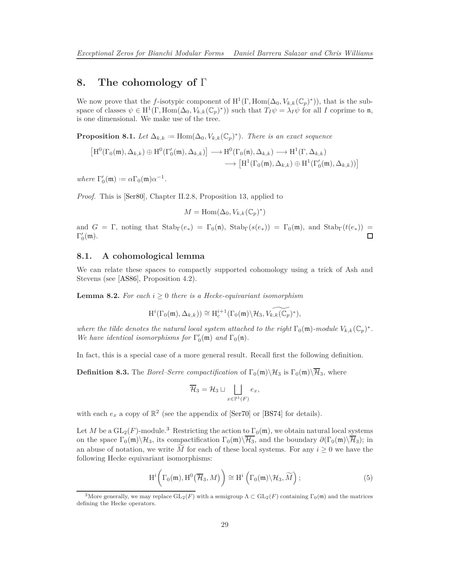### <span id="page-28-4"></span>**8. The cohomology of** Γ

We now prove that the *f*-isotypic component of  $H^1(\Gamma, \text{Hom}(\Delta_0, V_{k,k}(\mathbb{C}_p)^*))$ , that is the subspace of classes  $\psi \in H^1(\Gamma, \text{Hom}(\Delta_0, V_{k,k}(\mathbb{C}_p)^*))$  such that  $T_I \psi = \lambda_I \psi$  for all *I* coprime to n, is one dimensional. We make use of the tree.

<span id="page-28-3"></span>**Proposition 8.1.** *Let*  $\Delta_{k,k} := \text{Hom}(\Delta_0, V_{k,k}(\mathbb{C}_p)^*)$ *. There is an exact sequence* 

$$
\begin{aligned} \left[\mathrm{H}^{0}(\Gamma_{0}(\mathfrak{m}), \Delta_{k,k}) \oplus \mathrm{H}^{0}(\Gamma'_{0}(\mathfrak{m}), \Delta_{k,k})\right] &\longrightarrow \mathrm{H}^{0}(\Gamma_{0}(\mathfrak{n}), \Delta_{k,k}) \longrightarrow \mathrm{H}^{1}(\Gamma, \Delta_{k,k}) \\ &\longrightarrow \left[\mathrm{H}^{1}(\Gamma_{0}(\mathfrak{m}), \Delta_{k,k}) \oplus \mathrm{H}^{1}(\Gamma'_{0}(\mathfrak{m}), \Delta_{k,k}))\right] \end{aligned}
$$

 $where \Gamma'_0(\mathfrak{m}) := \alpha \Gamma_0(\mathfrak{m}) \alpha^{-1}.$ 

*Proof.* This is [\[Ser80\]](#page-35-9), Chapter II.2.8, Proposition 13, applied to

$$
M = \text{Hom}(\Delta_0, V_{k,k}(\mathbb{C}_p)^*)
$$

and  $G = \Gamma$ , noting that  $\text{Stab}_{\Gamma}(e_*) = \Gamma_0(\mathfrak{n})$ ,  $\text{Stab}_{\Gamma}(s(e_*) = \Gamma_0(\mathfrak{m})$ , and  $\text{Stab}_{\Gamma}(t(e_*)) =$  $\Gamma_0'(\mathfrak{m})$ .  $\Box$ 

### **8.1. A cohomological lemma**

We can relate these spaces to compactly supported cohomology using a trick of Ash and Stevens (see [\[AS86\]](#page-34-10), Proposition 4.2).

<span id="page-28-2"></span>**Lemma 8.2.** For each  $i \geq 0$  there is a Hecke-equivariant isomorphism

$$
\mathrm{H}^i(\Gamma_0(\mathfrak{m}), \Delta_{k,k})) \cong \mathrm{H}^{i+1}_c(\Gamma_0(\mathfrak{m}) \backslash \mathcal{H}_3, \widetilde{V_{k,k}(\mathbb{C}_p)^*}),
$$

*where the tilde denotes the natural local system attached to the right*  $\Gamma_0(\mathfrak{m})$ *-module*  $V_{k,k}(\mathbb{C}_p)^*$ *. We have identical isomorphisms for*  $\Gamma'_0(\mathfrak{m})$  *and*  $\Gamma_0(\mathfrak{n})$ *.* 

In fact, this is a special case of a more general result. Recall first the following definition.

**Definition 8.3.** The *Borel–Serre compactification* of  $\Gamma_0(\mathfrak{m})\backslash\mathcal{H}_3$  is  $\Gamma_0(\mathfrak{m})\backslash\overline{\mathcal{H}}_3$ , where

$$
\overline{\mathcal{H}}_3 = \mathcal{H}_3 \sqcup \bigsqcup_{x \in \mathbb{P}^1(F)} e_x,
$$

with each  $e_x$  a copy of  $\mathbb{R}^2$  (see the appendix of [\[Ser70\]](#page-35-11) or [\[BS74\]](#page-34-11) for details).

Let *M* be a  $GL_2(F)$ -module.<sup>[3](#page-28-0)</sup> Restricting the action to  $\Gamma_0(\mathfrak{m})$ , we obtain natural local systems on the space  $\Gamma_0(\mathfrak{m})\backslash\mathcal{H}_3$ , its compactification  $\Gamma_0(\mathfrak{m})\backslash\overline{\mathcal{H}_3}$ , and the boundary  $\partial(\Gamma_0(\mathfrak{m})\backslash\overline{\mathcal{H}_3})$ ; in an abuse of notation, we write  $\widetilde{M}$  for each of these local systems. For any  $i \geq 0$  we have the following Hecke equivariant isomorphisms:

<span id="page-28-1"></span>
$$
\mathrm{H}^{i}\bigg(\Gamma_{0}(\mathfrak{m}), \mathrm{H}^{0}\big(\overline{\mathcal{H}}_{3}, M\big)\bigg) \cong \mathrm{H}^{i}\left(\Gamma_{0}(\mathfrak{m})\backslash \mathcal{H}_{3}, \widetilde{M}\right); \tag{5}
$$

<span id="page-28-0"></span><sup>&</sup>lt;sup>3</sup>More generally, we may replace  $GL_2(F)$  with a semigroup  $\Lambda \subset GL_2(F)$  containing  $\Gamma_0(\mathfrak{m})$  and the matrices defining the Hecke operators.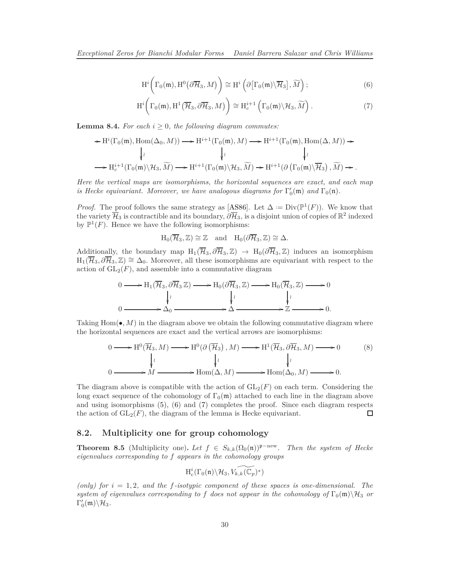<span id="page-29-3"></span><span id="page-29-0"></span>
$$
\mathrm{H}^i\bigg(\Gamma_0(\mathfrak{m}), \mathrm{H}^0\big(\partial\overline{\mathcal{H}}_3, M\big)\bigg) \cong \mathrm{H}^i\left(\partial\big[\Gamma_0(\mathfrak{m})\backslash\overline{\mathcal{H}}_3\big], \widetilde{M}\right);\tag{6}
$$

<span id="page-29-1"></span>
$$
\mathrm{H}^i\bigg(\Gamma_0(\mathfrak{m}), \mathrm{H}^1\big(\overline{\mathcal{H}}_3, \partial\overline{\mathcal{H}}_3, M\big)\bigg) \cong \mathrm{H}^{i+1}_c\left(\Gamma_0(\mathfrak{m})\backslash \mathcal{H}_3, \widetilde{M}\right). \tag{7}
$$

**Lemma 8.4.** For each  $i > 0$ , the following diagram commutes:

$$
\begin{array}{c} \star \mathrm{H}^{i}(\Gamma_{0}(\mathfrak{m}),\mathrm{Hom}(\Delta_{0},M))\longrightarrow \mathrm{H}^{i+1}(\Gamma_{0}(\mathfrak{m}),M)\longrightarrow \mathrm{H}^{i+1}(\Gamma_{0}(\mathfrak{m}),\mathrm{Hom}(\Delta,M))\star \\ \downarrow^{\wr} \qquad \qquad \downarrow^{\wr} \qquad \qquad \downarrow^{\wr} \\ \longrightarrow \mathrm{H}^{i+1}_{c}(\Gamma_{0}(\mathfrak{m})\backslash \mathcal{H}_{3},\widetilde{M})\longrightarrow \mathrm{H}^{i+1}(\Gamma_{0}(\mathfrak{m})\backslash \mathcal{H}_{3},\widetilde{M})\rightarrow \mathrm{H}^{i+1}(\partial\left(\Gamma_{0}(\mathfrak{m})\backslash \overline{\mathcal{H}}_{3}\right),\widetilde{M})\rightarrow. \end{array}
$$

*Here the vertical maps are isomorphisms, the horizontal sequences are exact, and each map is Hecke equivariant. Moreover, we have analogous diagrams for*  $\Gamma'_0(\mathfrak{m})$  *and*  $\Gamma_0(\mathfrak{n})$ *.* 

*Proof.* The proof follows the same strategy as [\[AS86\]](#page-34-10). Let  $\Delta := Div(\mathbb{P}^1(F))$ . We know that the variety  $\overline{\mathcal{H}}_3$  is contractible and its boundary,  $\partial\overline{\mathcal{H}}_3$ , is a disjoint union of copies of  $\mathbb{R}^2$  indexed by  $\mathbb{P}^1(F)$ . Hence we have the following isomorphisms:

$$
H_0(\overline{\mathcal{H}}_3,\mathbb{Z})\cong \mathbb{Z} \quad \text{and} \quad H_0(\partial \overline{\mathcal{H}}_3,\mathbb{Z})\cong \Delta.
$$

Additionally, the boundary map  $H_1(\overline{\mathcal{H}}_3, \partial \overline{\mathcal{H}}_3, \mathbb{Z}) \rightarrow H_0(\partial \overline{\mathcal{H}}_3, \mathbb{Z})$  induces an isomorphism  $H_1(\overline{\mathcal{H}}_3, \partial \overline{\mathcal{H}}_3, \mathbb{Z}) \cong \Delta_0$ . Moreover, all these isomorphisms are equivariant with respect to the action of  $GL_2(F)$ , and assemble into a commutative diagram

$$
0 \longrightarrow H_1(\overline{\mathcal{H}}_3, \partial \overline{\mathcal{H}}_3 \mathbb{Z}) \longrightarrow H_0(\partial \overline{\mathcal{H}}_3, \mathbb{Z}) \longrightarrow H_0(\overline{\mathcal{H}}_3, \mathbb{Z}) \longrightarrow 0
$$
  
\n
$$
0 \longrightarrow \Delta_0 \longrightarrow \Delta \longrightarrow \mathbb{Z} \longrightarrow 0.
$$

Taking  $Hom(\bullet, M)$  in the diagram above we obtain the following commutative diagram where the horizontal sequences are exact and the vertical arrows are isomorphisms:

$$
0 \longrightarrow H^{0}(\overline{\mathcal{H}}_{3}, M) \longrightarrow H^{0}(\partial(\overline{\mathcal{H}}_{3}), M) \longrightarrow H^{1}(\overline{\mathcal{H}}_{3}, \partial\overline{\mathcal{H}}_{3}, M) \longrightarrow 0
$$
\n
$$
\downarrow \qquad \qquad \downarrow \qquad \qquad \downarrow \qquad \qquad \downarrow \qquad \qquad \downarrow \qquad \qquad \downarrow \qquad \qquad \downarrow \qquad \qquad \downarrow \qquad \qquad \downarrow \qquad \qquad \downarrow \qquad \qquad \downarrow \qquad \qquad \downarrow \qquad \qquad \downarrow \qquad \qquad \downarrow \qquad \qquad \downarrow \qquad \qquad \downarrow \qquad \qquad \downarrow \qquad \qquad \downarrow \qquad \qquad \downarrow \qquad \qquad \downarrow \qquad \qquad \downarrow \qquad \qquad \downarrow \qquad \downarrow \qquad \qquad \downarrow \qquad \downarrow \qquad \downarrow \qquad \qquad \downarrow \qquad \downarrow \qquad \qquad \downarrow \qquad \downarrow \qquad \downarrow \qquad \downarrow \qquad \downarrow \qquad \downarrow \qquad \downarrow \qquad \downarrow \qquad \downarrow \qquad \downarrow \qquad \downarrow \qquad \downarrow \qquad \downarrow \qquad \downarrow \qquad \downarrow \qquad \downarrow \qquad \downarrow \qquad \downarrow \qquad \downarrow \qquad \downarrow \qquad \downarrow \qquad \downarrow \qquad \downarrow \qquad \downarrow \qquad \downarrow \qquad \downarrow \qquad \downarrow \qquad \downarrow \qquad \downarrow \qquad \downarrow \qquad \downarrow \qquad \downarrow \qquad \downarrow \qquad \downarrow \qquad \downarrow \qquad \downarrow \qquad \downarrow \qquad \downarrow \qquad \downarrow \qquad \downarrow \qquad \downarrow \qquad \downarrow \qquad \downarrow \qquad \downarrow \qquad \downarrow \qquad \downarrow \qquad \downarrow \qquad \downarrow \qquad \downarrow \qquad \downarrow \qquad \downarrow \qquad \downarrow \qquad \downarrow \qquad \downarrow \qquad \downarrow \qquad \downarrow \qquad \downarrow \qquad \downarrow \qquad \downarrow \qquad \downarrow \qquad \downarrow \qquad \downarrow \qquad \downarrow \qquad \downarrow \qquad \downarrow \qquad \downarrow \qquad \downarrow \qquad \downarrow \qquad \downarrow \qquad \downarrow \qquad \downarrow \qquad \downarrow
$$

The diagram above is compatible with the action of  $GL_2(F)$  on each term. Considering the long exact sequence of the cohomology of  $\Gamma_0(\mathfrak{m})$  attached to each line in the diagram above and using isomorphisms [\(5\)](#page-28-1), [\(6\)](#page-29-0) and [\(7\)](#page-29-1) completes the proof. Since each diagram respects the action of  $GL_2(F)$ , the diagram of the lemma is Hecke equivariant. □

### **8.2. Multiplicity one for group cohomology**

<span id="page-29-2"></span>**Theorem 8.5** (Multiplicity one)**.** *Let*  $f \in S_{k,k}(\Omega_0(\mathfrak{n}))^{\mathfrak{p}-\text{new}}$ *. Then the system of Hecke eigenvalues corresponding to f appears in the cohomology groups*

$$
H^i_c(\Gamma_0(\mathfrak{n})\backslash \mathcal{H}_3, \widetilde{\mathcal{V}_{k,k}(\mathbb{C}_p)^*})
$$

(only) for  $i = 1, 2$ , and the f-isotypic component of these spaces is one-dimensional. The *system of eigenvalues corresponding to f* does not appear in the cohomology of  $\Gamma_0(\mathfrak{m})\setminus\mathcal{H}_3$  *or*  $\Gamma_0'(\mathfrak{m}) \backslash \mathcal{H}_3$ .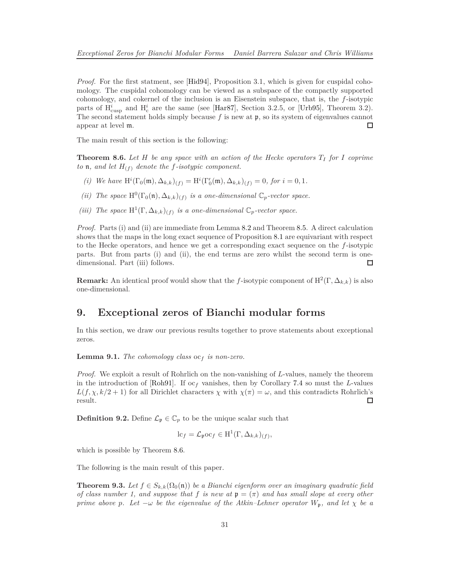<span id="page-30-1"></span>*Proof.* For the first statment, see [\[Hid94\]](#page-35-8), Proposition 3.1, which is given for cuspidal cohomology. The cuspidal cohomology can be viewed as a subspace of the compactly supported cohomology, and cokernel of the inclusion is an Eisenstein subspace, that is, the *f*-isotypic parts of  $H_{\text{cusp}}^i$  and  $H_{\text{c}}^i$  are the same (see [\[Har87\]](#page-35-12), Section 3.2.5, or [\[Urb95\]](#page-35-13), Theorem 3.2). The second statement holds simply because *f* is new at p, so its system of eigenvalues cannot appear at level m. □

The main result of this section is the following:

<span id="page-30-0"></span>**Theorem 8.6.** Let  $H$  be any space with an action of the Hecke operators  $T_I$  for  $I$  coprime *to* **n**, and let  $H_{(f)}$  denote the f-isotypic component.

- *(i)* We have  $H^{i}(\Gamma_{0}(\mathfrak{m}), \Delta_{k,k})_{(f)} = H^{i}(\Gamma'_{0}(\mathfrak{m}), \Delta_{k,k})_{(f)} = 0$ , for  $i = 0, 1$ .
- *(ii)* The space  $H^0(\Gamma_0(n), \Delta_{k,k})$ <sub>(f)</sub> is a one-dimensional  $\mathbb{C}_p$ -vector space.
- (*iii*) The space  $H^1(\Gamma, \Delta_{k,k})$ <sub>(f)</sub> is a one-dimensional  $\mathbb{C}_p$ -vector space.

*Proof.* Parts (i) and (ii) are immediate from Lemma [8.2](#page-28-2) and Theorem [8.5.](#page-29-2) A direct calculation shows that the maps in the long exact sequence of Proposition [8.1](#page-28-3) are equivariant with respect to the Hecke operators, and hence we get a corresponding exact sequence on the *f*-isotypic parts. But from parts (i) and (ii), the end terms are zero whilst the second term is onedimensional. Part (iii) follows. □

**Remark:** An identical proof would show that the *f*-isotypic component of  $H^2(\Gamma, \Delta_{k,k})$  is also one-dimensional.

### **9. Exceptional zeros of Bianchi modular forms**

In this section, we draw our previous results together to prove statements about exceptional zeros.

**Lemma 9.1.** *The cohomology class* oc*<sup>f</sup> is non-zero.*

*Proof.* We exploit a result of Rohrlich on the non-vanishing of *L*-values, namely the theorem in the introduction of [\[Roh91\]](#page-35-14). If  $oc_f$  vanishes, then by Corollary [7.4](#page-24-1) so must the *L*-values  $L(f, \chi, k/2 + 1)$  for all Dirichlet characters  $\chi$  with  $\chi(\pi) = \omega$ , and this contradicts Rohrlich's result. □

**Definition 9.2.** Define  $\mathcal{L}_{\mathfrak{p}} \in \mathbb{C}_p$  to be the unique scalar such that

$$
lc_f = \mathcal{L}_{\mathfrak{p}}oc_f \in H^1(\Gamma, \Delta_{k,k})_{(f)},
$$

which is possible by Theorem [8.6.](#page-30-0)

The following is the main result of this paper.

**Theorem 9.3.** Let  $f \in S_{k,k}(\Omega_0(\mathfrak{n}))$  be a Bianchi eigenform over an imaginary quadratic field *of class number 1, and suppose that*  $f$  *is new at*  $p = (\pi)$  *and has small slope at every other prime above p. Let*  $-\omega$  *be the eigenvalue of the Atkin–Lehner operator*  $W_p$ *, and let*  $\chi$  *be a*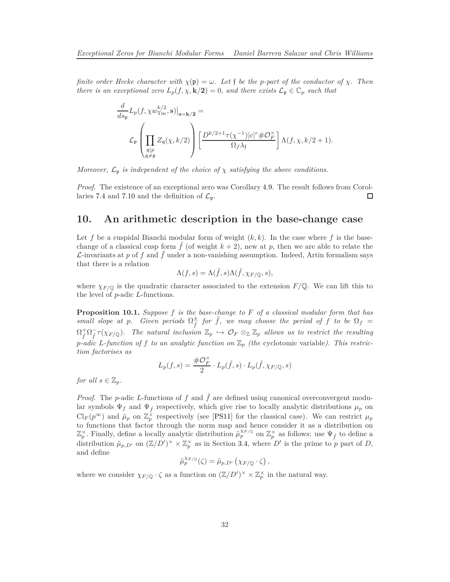<span id="page-31-0"></span>*finite order Hecke character with*  $\chi(\mathfrak{p}) = \omega$ *. Let* f *be the p-part of the conductor of*  $\chi$ *. Then there is an exceptional zero*  $L_p(f, \chi, \mathbf{k}/2) = 0$ *, and there exists*  $\mathcal{L}_p \in \mathbb{C}_p$  *such that* 

$$
\frac{d}{ds_{\mathfrak{p}}}L_{p}(f, \chi w_{\text{Im}}^{k/2}, \mathbf{s})|_{\mathbf{s}=\mathbf{k}/2} =
$$
\n
$$
\mathcal{L}_{\mathfrak{p}}\left(\prod_{\substack{\mathfrak{q}\mid p\\ \mathfrak{q}\neq \mathfrak{p}}}\mathbb{Z}_{\mathfrak{q}}(\chi, k/2)\right)\left[\frac{D^{k/2+1}\tau(\chi^{-1})|c|^{r} \#\mathcal{O}_{F}^{\times}}{\Omega_{f}\lambda_{\mathfrak{f}}}\right]\Lambda(f, \chi, k/2+1).
$$

*Moreover,*  $\mathcal{L}_{\mathfrak{p}}$  *is independent of the choice of*  $\chi$  *satisfying the above conditions.* 

*Proof.* The existence of an exceptional zero was Corollary [4.9.](#page-17-0) The result follows from Corol-laries [7.4](#page-24-1) and [7.10](#page-27-0) and the definition of  $\mathcal{L}_{p}$ . □

### **10. An arithmetic description in the base-change case**

Let f be a cuspidal Bianchi modular form of weight  $(k, k)$ . In the case where f is the basechange of a classical cusp form  $f$  (of weight  $k + 2$ ), new at  $p$ , then we are able to relate the  $\mathcal{L}$ -invariants at p of f and  $\tilde{f}$  under a non-vanishing assumption. Indeed, Artin formalism says that there is a relation

$$
\Lambda(f,s) = \Lambda(\tilde{f},s)\Lambda(\tilde{f},\chi_{F/\mathbb{Q}},s),
$$

where  $\chi_{F/\mathbb{Q}}$  is the quadratic character associated to the extension  $F/\mathbb{Q}$ . We can lift this to the level of *p*-adic *L*-functions.

**Proposition 10.1.** *Suppose f is the base-change to F of a classical modular form that has small slope at p.* Given periods  $\Omega_{\tilde{f}}^{\pm}$  *for*  $\tilde{f}$ *, we may choose the period of*  $f$  *to be*  $\Omega_f$  =  $\Omega^+_{\tilde{f}}\Omega^-_{\tilde{f}}\tau(\chi_{F/\mathbb{Q}})$ . The natural inclusion  $\mathbb{Z}_p \hookrightarrow \mathcal{O}_F \otimes_{\mathbb{Z}} \mathbb{Z}_p$  allows us to restrict the resulting *p*-adic L-function of f to an analytic function on  $\mathbb{Z}_p$  (the cyclotomic variable). This restric*tion factorises as*

$$
L_p(f,s) = \frac{\# \mathcal{O}_F^{\times}}{2} \cdot L_p(\tilde{f},s) \cdot L_p(\tilde{f}, \chi_{F/\mathbb{Q}},s)
$$

*for all*  $s \in \mathbb{Z}_p$ *.* 

*Proof.* The *p*-adic *L*-functions of *f* and  $\tilde{f}$  are defined using canonical overconvergent modular symbols  $\Psi_f$  and  $\Psi_{\tilde{f}}$  respectively, which give rise to locally analytic distributions  $\mu_p$  on  $\text{Cl}_F(p^\infty)$  and  $\tilde{\mu}_p$  on  $\mathbb{Z}_p^\times$  respectively (see [\[PS11\]](#page-35-15) for the classical case). We can restrict  $\mu_p$ to functions that factor through the norm map and hence consider it as a distribution on  $\mathbb{Z}_p^{\times}$ . Finally, define a locally analytic distribution  $\tilde{\mu}_p^{\chi_F/\mathbb{Q}}$  on  $\mathbb{Z}_p^{\times}$  as follows: use  $\Psi_{\tilde{f}}$  to define a distribution  $\tilde{\mu}_{p,D'}$  on  $(\mathbb{Z}/D')^{\times} \times \mathbb{Z}_p^{\times}$  as in Section [3.4,](#page-12-1) where  $D'$  is the prime to p part of D, and define

$$
\tilde{\mu}_p^{\chi_{F/\mathbb{Q}}}(\zeta) = \tilde{\mu}_{p,D'}(\chi_{F/\mathbb{Q}} \cdot \zeta),
$$

where we consider  $\chi_{F/\mathbb{Q}} \cdot \zeta$  as a function on  $(\mathbb{Z}/D')^{\times} \times \mathbb{Z}_p^{\times}$  in the natural way.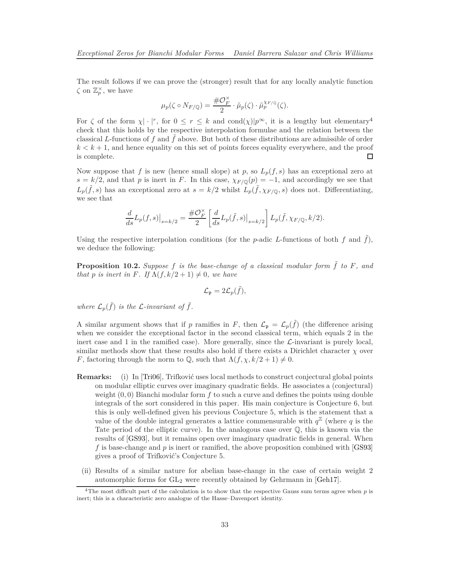<span id="page-32-1"></span>The result follows if we can prove the (stronger) result that for any locally analytic function  $\zeta$  on  $\mathbb{Z}_p^{\times}$ , we have

$$
\mu_p(\zeta \circ N_{F/\mathbb{Q}}) = \frac{\# \mathcal{O}_F^{\times}}{2} \cdot \tilde{\mu}_p(\zeta) \cdot \tilde{\mu}_p^{\chi_{F/\mathbb{Q}}}(\zeta).
$$

For  $\zeta$  of the form  $\chi$  | · |<sup>r</sup>, for  $0 \le r \le k$  and  $\text{cond}(\chi)|p^{\infty}$ , it is a lengthy but elementary<sup>[4](#page-32-0)</sup> check that this holds by the respective interpolation formulae and the relation between the classical *L*-functions of f and  $\hat{f}$  above. But both of these distributions are admissible of order  $k < k+1$ , and hence equality on this set of points forces equality everywhere, and the proof is complete. □

Now suppose that f is new (hence small slope) at p, so  $L_p(f, s)$  has an exceptional zero at  $s = k/2$ , and that *p* is inert in *F*. In this case,  $\chi_{F/\mathbb{Q}}(p) = -1$ , and accordingly we see that  $L_p(\tilde{f}, s)$  has an exceptional zero at  $s = k/2$  whilst  $L_p(\tilde{f}, \chi_{F/\mathbb{Q}}, s)$  does not. Differentiating, we see that

$$
\frac{d}{ds}L_p(f,s)\big|_{s=k/2} = \frac{\#\mathcal{O}_F^\times}{2}\left[\frac{d}{ds}L_p(\tilde{f},s)\big|_{s=k/2}\right]L_p(\tilde{f},\chi_{F/\mathbb{Q}},k/2).
$$

Using the respective interpolation conditions (for the  $p$ -adic  $L$ -functions of both  $f$  and  $f$ ), we deduce the following:

**Proposition 10.2.** Suppose  $f$  is the base-change of a classical modular form  $\hat{f}$  to  $F$ , and *that p is inert in F. If*  $\Lambda(f, k/2 + 1) \neq 0$ *, we have* 

$$
\mathcal{L}_{\mathfrak{p}} = 2\mathcal{L}_{p}(\tilde{f}),
$$

where  $\mathcal{L}_p(\tilde{f})$  *is the L-invariant of*  $\tilde{f}$ *.* 

A similar argument shows that if *p* ramifies in *F*, then  $\mathcal{L}_{\mathfrak{p}} = \mathcal{L}_{p}(\tilde{f})$  (the difference arising when we consider the exceptional factor in the second classical term, which equals 2 in the inert case and 1 in the ramified case). More generally, since the  $\mathcal{L}$ -invariant is purely local, similar methods show that these results also hold if there exists a Dirichlet character  $\chi$  over *F*, factoring through the norm to  $\mathbb{Q}$ , such that  $\Lambda(f, \chi, k/2 + 1) \neq 0$ .

- **Remarks:** (i) In [\[Tri06\]](#page-35-5), Trifković uses local methods to construct conjectural global points on modular elliptic curves over imaginary quadratic fields. He associates a (conjectural) weight (0*,* 0) Bianchi modular form *f* to such a curve and defines the points using double integrals of the sort considered in this paper. His main conjecture is Conjecture 6, but this is only well-defined given his previous Conjecture 5, which is the statement that a value of the double integral generates a lattice commensurable with  $q^{\mathbb{Z}}$  (where q is the Tate period of the elliptic curve). In the analogous case over  $\mathbb{Q}$ , this is known via the results of [\[GS93\]](#page-34-0), but it remains open over imaginary quadratic fields in general. When *f* is base-change and *p* is inert or ramified, the above proposition combined with [\[GS93\]](#page-34-0) gives a proof of Trifković's Conjecture 5.
- (ii) Results of a similar nature for abelian base-change in the case of certain weight 2 automorphic forms for  $GL_2$  were recently obtained by Gehrmann in [\[Geh17\]](#page-34-7).

<span id="page-32-0"></span><sup>&</sup>lt;sup>4</sup>The most difficult part of the calculation is to show that the respective Gauss sum terms agree when *p* is inert; this is a characteristic zero analogue of the Hasse–Davenport identity.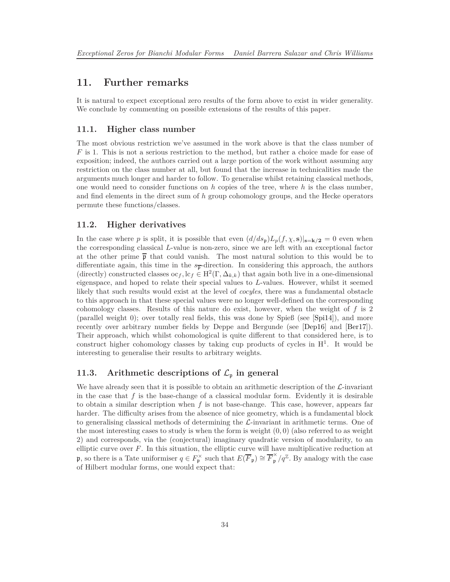### <span id="page-33-1"></span>**11. Further remarks**

<span id="page-33-0"></span>It is natural to expect exceptional zero results of the form above to exist in wider generality. We conclude by commenting on possible extensions of the results of this paper.

### **11.1. Higher class number**

The most obvious restriction we've assumed in the work above is that the class number of *F* is 1. This is not a serious restriction to the method, but rather a choice made for ease of exposition; indeed, the authors carried out a large portion of the work without assuming any restriction on the class number at all, but found that the increase in technicalities made the arguments much longer and harder to follow. To generalise whilst retaining classical methods, one would need to consider functions on *h* copies of the tree, where *h* is the class number, and find elements in the direct sum of *h* group cohomology groups, and the Hecke operators permute these functions/classes.

### **11.2. Higher derivatives**

In the case where *p* is split, it is possible that even  $(d/ds_p)L_p(f,\chi,s)|_{s=k/2}=0$  even when the corresponding classical *L*-value is non-zero, since we are left with an exceptional factor at the other prime  $\bar{p}$  that could vanish. The most natural solution to this would be to differentiate again, this time in the  $s_{\overline{p}}$ -direction. In considering this approach, the authors (directly) constructed classes  $oc_f$ ,  $lc_f \in H^2(\Gamma, \Delta_{k,k})$  that again both live in a one-dimensional eigenspace, and hoped to relate their special values to *L*-values. However, whilst it seemed likely that such results would exist at the level of *cocyles*, there was a fundamental obstacle to this approach in that these special values were no longer well-defined on the corresponding cohomology classes. Results of this nature do exist, however, when the weight of *f* is 2 (parallel weight 0); over totally real fields, this was done by Spieß (see [\[Spi14\]](#page-35-3)), and more recently over arbitrary number fields by Deppe and Bergunde (see [\[Dep16\]](#page-34-4) and [\[Ber17\]](#page-34-6)). Their approach, which whilst cohomological is quite different to that considered here, is to construct higher cohomology classes by taking cup products of cycles in  $H<sup>1</sup>$ . It would be interesting to generalise their results to arbitrary weights.

### **11.3.** Arithmetic descriptions of  $\mathcal{L}_{\mathfrak{p}}$  in general

We have already seen that it is possible to obtain an arithmetic description of the  $\mathcal{L}$ -invariant in the case that  $f$  is the base-change of a classical modular form. Evidently it is desirable to obtain a similar description when *f* is not base-change. This case, however, appears far harder. The difficulty arises from the absence of nice geometry, which is a fundamental block to generalising classical methods of determining the  $\mathcal{L}$ -invariant in arithmetic terms. One of the most interesting cases to study is when the form is weight  $(0,0)$  (also referred to as weight 2) and corresponds, via the (conjectural) imaginary quadratic version of modularity, to an elliptic curve over *F*. In this situation, the elliptic curve will have multiplicative reduction at p, so there is a Tate uniformiser  $q \in F_{\mathfrak{p}}^{\times}$  such that  $E(\overline{F}_{\mathfrak{p}}) \cong \overline{F}_{\mathfrak{p}}^{\times}/q^{\mathbb{Z}}$ . By analogy with the case of Hilbert modular forms, one would expect that: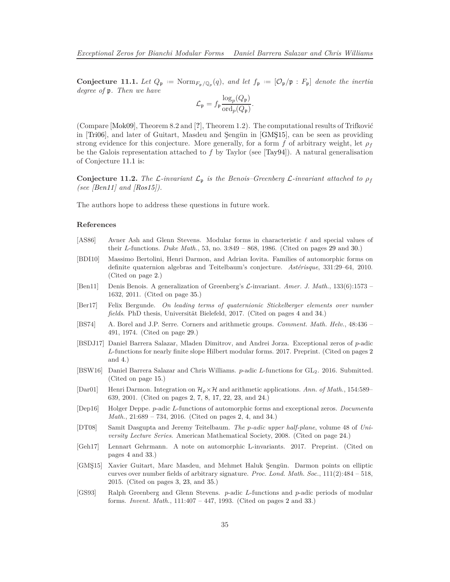<span id="page-34-14"></span><span id="page-34-12"></span>**Conjecture 11.1.** Let  $Q_p := \text{Norm}_{F_p/Q_p}(q)$ , and let  $f_p := [O_p/p : F_p]$  denote the inertia *degree of* p*. Then we have*

$$
\mathcal{L}_{\mathfrak{p}} = f_{\mathfrak{p}} \frac{\log_p(Q_{\mathfrak{p}})}{\mathrm{ord}_p(Q_{\mathfrak{p}})}.
$$

(Compare [\[Mok09\]](#page-35-2), Theorem 8.2 and [**?**], Theorem 1.2). The computational results of Trifković in [\[Tri06\]](#page-35-5), and later of Guitart, Masdeu and Şengün in [\[GMŞ15\]](#page-34-5), can be seen as providing strong evidence for this conjecture. More generally, for a form  $f$  of arbitrary weight, let  $\rho_f$ be the Galois representation attached to *f* by Taylor (see [\[Tay94\]](#page-35-16)). A natural generalisation of Conjecture [11.1](#page-34-12) is:

**Conjecture 11.2.** *The* L-invariant  $\mathcal{L}_p$  is the Benois–Greenberg L-invariant attached to  $\rho_f$ *(see [\[Ben11\]](#page-34-13) and [\[Ros15\]](#page-35-17)).*

The authors hope to address these questions in future work.

#### **References**

- <span id="page-34-10"></span>[AS86] Avner Ash and Glenn Stevens. Modular forms in characteristic *ℓ* and special values of their *L*-functions. *Duke Math.*, 53, no. 3:849 – 868, 1986. (Cited on pages [29](#page-28-4) and [30.](#page-29-3))
- <span id="page-34-1"></span>[BDI10] Massimo Bertolini, Henri Darmon, and Adrian Iovita. Families of automorphic forms on definite quaternion algebras and Teitelbaum's conjecture. *Astérisque*, 331:29–64, 2010. (Cited on page [2.](#page-1-2))
- <span id="page-34-13"></span>[Ben11] Denis Benois. A generalization of Greenberg's L-invariant. *Amer. J. Math.*, 133(6):1573 – 1632, 2011. (Cited on page [35.](#page-34-14))
- <span id="page-34-6"></span>[Ber17] Felix Bergunde. *On leading terms of quaternionic Stickelberger elements over number fields*. PhD thesis, Universität Bielefeld, 2017. (Cited on pages [4](#page-3-2) and [34.](#page-33-1))
- <span id="page-34-11"></span>[BS74] A. Borel and J.P. Serre. Corners and arithmetic groups. *Comment. Math. Helv.*, 48:436 – 491, 1974. (Cited on page [29.](#page-28-4))
- <span id="page-34-3"></span>[BSDJ17] Daniel Barrera Salazar, Mladen Dimitrov, and Andrei Jorza. Exceptional zeros of *p*-adic *L*-functions for nearly finite slope Hilbert modular forms. 2017. Preprint. (Cited on pages [2](#page-1-2) and [4.](#page-3-2))
- <span id="page-34-8"></span>[BSW16] Daniel Barrera Salazar and Chris Williams. *p*-adic *L*-functions for GL2. 2016. Submitted. (Cited on page [15.](#page-14-3))
- <span id="page-34-2"></span>[Dar01] Henri Darmon. Integration on  $\mathcal{H}_p \times \mathcal{H}$  and arithmetic applications. Ann. of Math., 154:589– 639, 2001. (Cited on pages [2,](#page-1-2) [7,](#page-6-1) [8,](#page-7-2) [17,](#page-16-1) [22,](#page-21-1) [23,](#page-22-0) and [24.](#page-23-2))
- <span id="page-34-4"></span>[Dep16] Holger Deppe. *p*-adic *L*-functions of automorphic forms and exceptional zeros. *Documenta Math.*, 21:689 – 734, 2016. (Cited on pages [2,](#page-1-2) [4,](#page-3-2) and [34.](#page-33-1))
- <span id="page-34-9"></span>[DT08] Samit Dasgupta and Jeremy Teitelbaum. *The p-adic upper half-plane*, volume 48 of *University Lecture Series*. American Mathematical Society, 2008. (Cited on page [24.](#page-23-2))
- <span id="page-34-7"></span>[Geh17] Lennart Gehrmann. A note on automorphic L-invariants. 2017. Preprint. (Cited on pages [4](#page-3-2) and [33.](#page-32-1))
- <span id="page-34-5"></span>[GMŞ15] Xavier Guitart, Marc Masdeu, and Mehmet Haluk Şengün. Darmon points on elliptic curves over number fields of arbitrary signature. *Proc. Lond. Math. Soc.*, 111(2):484 – 518, 2015. (Cited on pages [3,](#page-2-0) [23,](#page-22-0) and [35.](#page-34-14))
- <span id="page-34-0"></span>[GS93] Ralph Greenberg and Glenn Stevens. *p*-adic *L*-functions and *p*-adic periods of modular forms. *Invent. Math.*, 111:407 – 447, 1993. (Cited on pages [2](#page-1-2) and [33.](#page-32-1))